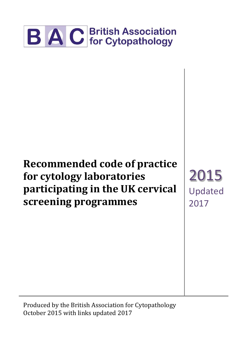

# **Recommended code of practice for cytology laboratories participating in the UK cervical screening programmes**

2015 Updated 2017

Produced by the British Association for Cytopathology October 2015 with links updated 2017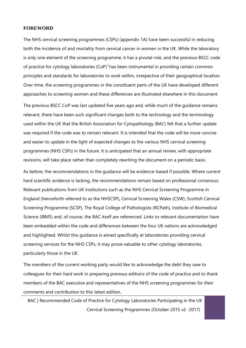#### **FOREWORD**

The NHS cervical screening programmes (CSPs) (appendix 1A) have been successful in reducing both the incidence of and mortality from cervical cancer in women in the UK. While the laboratory is only one element of the screening programme, it has a pivotal role, and the previous BSCC code of practice for cytology laboratories  $(CoP)^1$  has been instrumental in providing certain common principles and standards for laboratories to work within, irrespective of their geographical location. Over time, the screening programmes in the constituent parts of the UK have developed different approaches to screening women and these differences are illustrated elsewhere in this document.

The previous BSCC CoP was last updated five years ago and, while much of the guidance remains relevant, there have been such significant changes both to the technology and the terminology used within the UK that the British Association for Cytopathology (BAC) felt that a further update was required if the code was to remain relevant. It is intended that the code will be more concise and easier to update in the light of expected changes to the various NHS cervical screening programmes (NHS CSPs) in the future. It is anticipated that an annual review, with appropriate revisions, will take place rather than completely rewriting the document on a periodic basis.

As before, the recommendations in the guidance will be evidence-based if possible. Where current hard scientific evidence is lacking, the recommendations remain based on professional consensus. Relevant publications from UK institutions such as the NHS Cervical Screening Programme in England (henceforth referred to as the NHSCSP), Cervical Screening Wales (CSW), Scottish Cervical Screening Programme (SCSP), The Royal College of Pathologists (RCPath), Institute of Biomedical Science (IBMS) and, of course, the BAC itself are referenced. Links to relevant documentation have been embedded within the code and differences between the four UK nations are acknowledged and highlighted. Whilst this guidance is aimed specifically at laboratories providing cervical screening services for the NHS CSPs, it may prove valuable to other cytology laboratories, particularly those in the UK.

The members of the current working party would like to acknowledge the debt they owe to colleagues for their hard work in preparing previous editions of the code of practice and to thank members of the BAC executive and representatives of the NHS screening programmes for their comments and contribution to this latest edition.

BAC | Recommended Code of Practice for Cytology Laboratories Participating in the UK Cervical Screening Programmes (October 2015 v2 -2017)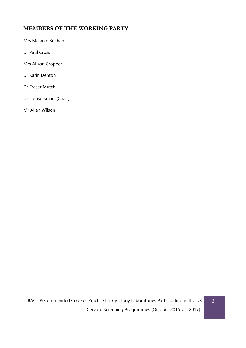# <span id="page-2-0"></span>**MEMBERS OF THE WORKING PARTY**

Mrs Melanie Buchan

Dr Paul Cross

Mrs Alison Cropper

Dr Karin Denton

Dr Fraser Mutch

Dr Louise Smart (Chair)

Mr Allan Wilson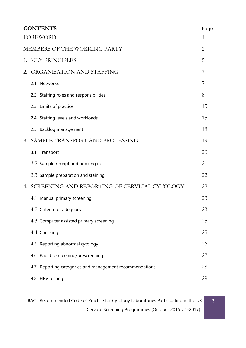| <b>CONTENTS</b>              |                                                          | Page           |
|------------------------------|----------------------------------------------------------|----------------|
|                              | <b>FOREWORD</b><br>1                                     |                |
| MEMBERS OF THE WORKING PARTY |                                                          | $\overline{2}$ |
|                              | 1. KEY PRINCIPLES                                        | 5              |
| 2.                           | ORGANISATION AND STAFFING                                | 7              |
|                              | 2.1. Networks                                            | 7              |
|                              | 2.2. Staffing roles and responsibilities                 | 8              |
|                              | 2.3. Limits of practice                                  | 15             |
|                              | 2.4. Staffing levels and workloads                       | 15             |
|                              | 2.5. Backlog management                                  | 18             |
|                              | 3. SAMPLE TRANSPORT AND PROCESSING                       | 19             |
|                              | 3.1. Transport                                           | 20             |
|                              | 3.2. Sample receipt and booking in                       | 21             |
|                              | 3.3. Sample preparation and staining                     | 22             |
|                              | 4. SCREENING AND REPORTING OF CERVICAL CYTOLOGY          | 22             |
|                              | 4.1. Manual primary screening                            | 23             |
|                              | 4.2. Criteria for adequacy                               | 23             |
|                              | 4.3. Computer assisted primary screening                 | 25             |
|                              | 4.4. Checking                                            | 25             |
|                              | 4.5. Reporting abnormal cytology                         | 26             |
|                              | 4.6. Rapid rescreening/prescreening                      | 27             |
|                              | 4.7. Reporting categories and management recommendations | 28             |
|                              | 4.8. HPV testing                                         | 29             |

**3**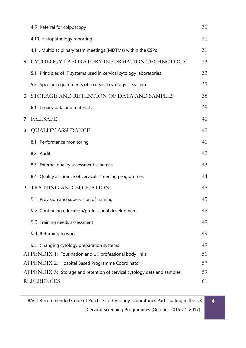|                                                                               | 4.9. Referral for colposcopy                                         | 30 |
|-------------------------------------------------------------------------------|----------------------------------------------------------------------|----|
|                                                                               | 4.10. Histopathology reporting                                       | 30 |
|                                                                               | 4.11. Multidisciplinary team meetings (MDTMs) within the CSPs        | 31 |
|                                                                               | 5. CYTOLOGY LABORATORY INFORMATION TECHNOLOGY                        | 33 |
|                                                                               | 5.1. Principles of IT systems used in cervical cytology laboratories | 33 |
|                                                                               | 5.2. Specific requirements of a cervical cytology IT system          | 35 |
|                                                                               | <b>6. STORAGE AND RETENTION OF DATA AND SAMPLES</b>                  | 38 |
|                                                                               | 6.1. Legacy data and materials                                       | 39 |
|                                                                               | 7. FAILSAFE                                                          | 40 |
|                                                                               | 8. QUALITY ASSURANCE                                                 | 40 |
|                                                                               | 8.1. Performance monitoring                                          | 41 |
|                                                                               | 8.2. Audit                                                           | 42 |
|                                                                               | 8.3. External quality assessment schemes                             | 43 |
|                                                                               | 8.4. Quality assurance of cervical screening programmes              | 44 |
|                                                                               | 9. TRAINING AND EDUCATION                                            | 45 |
|                                                                               | 9.1. Provision and supervision of training                           | 45 |
|                                                                               | 9.2. Continuing education/professional development                   | 48 |
|                                                                               | 9.3. Training needs assessment                                       | 49 |
|                                                                               | 9.4. Returning to work                                               | 49 |
|                                                                               | 9.5. Changing cytology preparation systems                           | 49 |
|                                                                               | APPENDIX 1: Four nation and UK professional body links               | 51 |
| APPENDIX 2: Hospital Based Programme Coordinator                              |                                                                      | 57 |
| 59<br>APPENDIX 3: Storage and retention of cervical cytology data and samples |                                                                      |    |
|                                                                               | <b>REFERENCES</b>                                                    | 61 |

BAC | Recommended Code of Practice for Cytology Laboratories Participating in the UK Cervical Screening Programmes (October 2015 v2 -2017)

**4**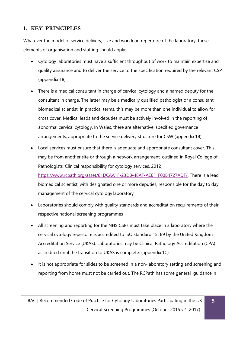# <span id="page-5-0"></span>**1. KEY PRINCIPLES**

Whatever the model of service delivery, size and workload repertoire of the laboratory, these elements of organisation and staffing should apply:

- Cytology laboratories must have a sufficient throughput of work to maintain expertise and quality assurance and to deliver the service to the specification required by the relevant CSP (appendix 1B)
- There is a medical consultant in charge of cervical cytology and a named deputy for the consultant in charge. The latter may be a medically qualified pathologist or a consultant biomedical scientist; in practical terms, this may be more than one individual to allow for cross cover. Medical leads and deputies must be actively involved in the reporting of abnormal cervical cytology. In Wales, there are alternative, specified governance arrangements, appropriate to the service delivery structure for CSW (appendix 1B)
- Local services must ensure that there is adequate and appropriate consultant cover. This may be from another site or through a network arrangement, outlined in Royal College of Pathologists, Clinical responsibility for cytology services, 2012 [https://www.rcpath.org/asset/81DCAA1F-23DB-48AF-AE6F1F00B4727ADF/.](https://www.rcpath.org/asset/81DCAA1F-23DB-48AF-AE6F1F00B4727ADF/) There is a lead biomedical scientist, with designated one or more deputies, responsible for the day to day management of the cervical cytology laboratory
- Laboratories should comply with quality standards and accreditation requirements of their respective national screening programmes
- All screening and reporting for the NHS CSPs must take place in a laboratory where the cervical cytology repertoire is accredited to ISO standard 15189 by the United Kingdom Accreditation Service (UKAS). Laboratories may be Clinical Pathology Accreditation (CPA) accredited until the transition to UKAS is complete. (appendix 1C)
- It is not appropriate for slides to be screened in a non-laboratory setting and screening and reporting from home must not be carried out. The RCPath has some general guidance in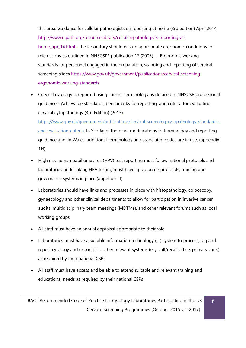this area: Guidance for cellular pathologists on reporting at home (3rd edition) April 2014 [http://www.rcpath.org/resourceLibrary/cellular-pathologists-reporting-at-](http://www.rcpath.org/resourceLibrary/cellular-pathologists-reporting-at-home_apr_14.html)

[home\\_apr\\_14.html](http://www.rcpath.org/resourceLibrary/cellular-pathologists-reporting-at-home_apr_14.html) . The laboratory should ensure appropriate ergonomic conditions for microscopy as outlined in NHSCSP**\*** publication 17 (2003) - Ergonomic working standards for personnel engaged in the preparation, scanning and reporting of cervical screening slides [https://www.gov.uk/government/publications/cervical-screening](https://www.gov.uk/government/publications/cervical-screening-ergonomic-working-standards)[ergonomic-working-standards](https://www.gov.uk/government/publications/cervical-screening-ergonomic-working-standards)

• Cervical cytology is reported using current terminology as detailed in NHSCSP professional guidance - Achievable standards, benchmarks for reporting, and criteria for evaluating cervical cytopathology (3rd Edition) (2013)

[https://www.gov.uk/government/publications/cervical-screening-cytopathology-standards](https://www.gov.uk/government/publications/cervical-screening-cytopathology-standards-and-evaluation-criteria)[and-evaluation-criteria. I](https://www.gov.uk/government/publications/cervical-screening-cytopathology-standards-and-evaluation-criteria)n Scotland, there are modifications to terminology and reporting guidance and, in Wales, additional terminology and associated codes are in use. (appendix 1H)

- High risk human papillomavirus (HPV) test reporting must follow national protocols and laboratories undertaking HPV testing must have appropriate protocols, training and governance systems in place (appendix 1I)
- Laboratories should have links and processes in place with histopathology, colposcopy, gynaecology and other clinical departments to allow for participation in invasive cancer audits, multidisciplinary team meetings (MDTMs), and other relevant forums such as local working groups
- All staff must have an annual appraisal appropriate to their role
- Laboratories must have a suitable information technology (IT) system to process, log and report cytology and export it to other relevant systems (e.g. call/recall office, primary care,) as required by their national CSPs
- All staff must have access and be able to attend suitable and relevant training and educational needs as required by their national CSPs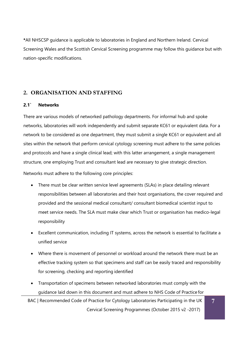**\***All NHSCSP guidance is applicable to laboratories in England and Northern Ireland. Cervical Screening Wales and the Scottish Cervical Screening programme may follow this guidance but with nation-specific modifications.

# <span id="page-7-0"></span>**2. ORGANISATION AND STAFFING**

#### <span id="page-7-1"></span>**2.1` Networks**

There are various models of networked pathology departments. For informal hub and spoke networks, laboratories will work independently and submit separate KC61 or equivalent data. For a network to be considered as one department, they must submit a single KC61 or equivalent and all sites within the network that perform cervical cytology screening must adhere to the same policies and protocols and have a single clinical lead; with this latter arrangement, a single management structure, one employing Trust and consultant lead are necessary to give strategic direction.

Networks must adhere to the following core principles:

- There must be clear written service level agreements (SLAs) in place detailing relevant responsibilities between all laboratories and their host organisations, the cover required and provided and the sessional medical consultant/ consultant biomedical scientist input to meet service needs. The SLA must make clear which Trust or organisation has medico-legal responsibility
- Excellent communication, including IT systems, across the network is essential to facilitate a unified service
- Where there is movement of personnel or workload around the network there must be an effective tracking system so that specimens and staff can be easily traced and responsibility for screening, checking and reporting identified
- Transportation of specimens between networked laboratories must comply with the guidance laid down in this document and must adhere to NHS Code of Practice for

BAC | Recommended Code of Practice for Cytology Laboratories Participating in the UK Cervical Screening Programmes (October 2015 v2 -2017)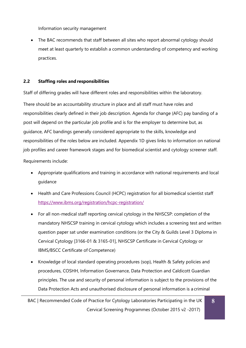Information security management

• The BAC recommends that staff between all sites who report abnormal cytology should meet at least quarterly to establish a common understanding of competency and working practices.

### <span id="page-8-0"></span>**2.2 Staffing roles and responsibilities**

Staff of differing grades will have different roles and responsibilities within the laboratory.

There should be an accountability structure in place and all staff must have roles and responsibilities clearly defined in their job description. Agenda for change (AFC) pay banding of a post will depend on the particular job profile and is for the employer to determine but, as guidance, AFC bandings generally considered appropriate to the skills, knowledge and responsibilities of the roles below are included. Appendix 1D gives links to information on national job profiles and career framework stages and for biomedical scientist and cytology screener staff.

Requirements include:

- Appropriate qualifications and training in accordance with national requirements and local guidance
- Health and Care Professions Council (HCPC) registration for all biomedical scientist staff <https://www.ibms.org/registration/hcpc-registration/>
- For all non-medical staff reporting cervical cytology in the NHSCSP: completion of the mandatory NHSCSP training in cervical cytology which includes a screening test and written question paper sat under examination conditions (or the City & Guilds Level 3 Diploma in Cervical Cytology [3166-01 & 3165-01], NHSCSP Certificate in Cervical Cytology or IBMS/BSCC Certificate of Competence)
- Knowledge of local standard operating procedures (sop), Health & Safety policies and procedures, COSHH, Information Governance, Data Protection and Caldicott Guardian principles. The use and security of personal information is subject to the provisions of the Data Protection Acts and unauthorised disclosure of personal information is a criminal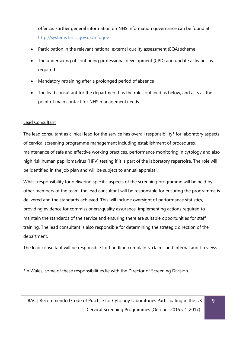offence. Further general information on NHS information governance can be found at <http://systems.hscic.gov.uk/infogov>

- Participation in the relevant national external quality assessment (EQA) scheme
- The undertaking of continuing professional development (CPD) and update activities as required
- Mandatory retraining after a prolonged period of absence
- The lead consultant for the department has the roles outlined as below, and acts as the point of main contact for NHS management needs.

# Lead Consultant

The lead consultant as clinical lead for the service has overall responsibility**\*** for laboratory aspects of cervical screening programme management including establishment of procedures, maintenance of safe and effective working practices, performance monitoring in cytology and also high risk human papillomavirus (HPV) testing if it is part of the laboratory repertoire. The role will be identified in the job plan and will be subject to annual appraisal.

Whilst responsibility for delivering specific aspects of the screening programme will be held by other members of the team, the lead consultant will be responsible for ensuring the programme is delivered and the standards achieved. This will include oversight of performance statistics, providing evidence for commissioners/quality assurance, implementing actions required to maintain the standards of the service and ensuring there are suitable opportunities for staff training. The lead consultant is also responsible for determining the strategic direction of the department.

The lead consultant will be responsible for handling complaints, claims and internal audit reviews.

**\***In Wales, some of these responsibilities lie with the Director of Screening Division.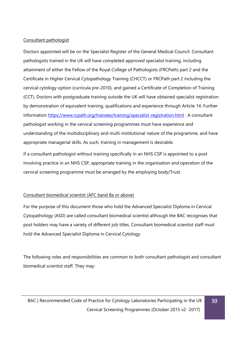# Consultant pathologist

Doctors appointed will be on the Specialist Register of the General Medical Council. Consultant pathologists trained in the UK will have completed approved specialist training, including attainment of either the Fellow of the Royal College of Pathologists (FRCPath) part 2 and the Certificate in Higher Cervical Cytopathology Training (CHCCT) or FRCPath part 2 including the cervical cytology option (curricula pre-2010), and gained a Certificate of Completion of Training (CCT). Doctors with postgraduate training outside the UK will have obtained specialist registration by demonstration of equivalent training, qualifications and experience through Article 14. Further information <https://www.rcpath.org/trainees/training/specialist-registration.html> . A consultant pathologist working in the cervical screening programmes must have experience and understanding of the multidisciplinary and multi-institutional nature of the programme, and have appropriate managerial skills. As such, training in management is desirable.

If a consultant pathologist without training specifically in an NHS CSP is appointed to a post involving practice in an NHS CSP, appropriate training in the organisation and operation of the cervical screening programme must be arranged by the employing body/Trust.

# Consultant biomedical scientist (AFC band 8a or above)

For the purpose of this document those who hold the Advanced Specialist Diploma in Cervical Cytopathology (ASD) are called consultant biomedical scientist although the BAC recognises that post holders may have a variety of different job titles. Consultant biomedical scientist staff must hold the Advanced Specialist Diploma in Cervical Cytology.

The following roles and responsibilities are common to both consultant pathologist and consultant biomedical scientist staff. They may: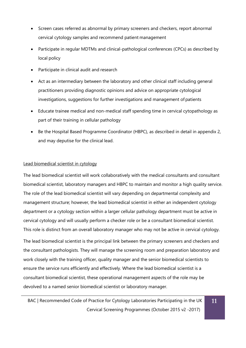- Screen cases referred as abnormal by primary screeners and checkers, report abnormal cervical cytology samples and recommend patient management
- Participate in regular MDTMs and clinical-pathological conferences (CPCs) as described by local policy
- Participate in clinical audit and research
- Act as an intermediary between the laboratory and other clinical staff including general practitioners providing diagnostic opinions and advice on appropriate cytological investigations, suggestions for further investigations and management of patients
- Educate trainee medical and non-medical staff spending time in cervical cytopathology as part of their training in cellular pathology
- Be the Hospital Based Programme Coordinator (HBPC), as described in detail in appendix 2, and may deputise for the clinical lead.

# Lead biomedical scientist in cytology

The lead biomedical scientist will work collaboratively with the medical consultants and consultant biomedical scientist, laboratory managers and HBPC to maintain and monitor a high quality service. The role of the lead biomedical scientist will vary depending on departmental complexity and management structure; however, the lead biomedical scientist in either an independent cytology department or a cytology section within a larger cellular pathology department must be active in cervical cytology and will usually perform a checker role or be a consultant biomedical scientist. This role is distinct from an overall laboratory manager who may not be active in cervical cytology.

The lead biomedical scientist is the principal link between the primary screeners and checkers and the consultant pathologists. They will manage the screening room and preparation laboratory and work closely with the training officer, quality manager and the senior biomedical scientists to ensure the service runs efficiently and effectively. Where the lead biomedical scientist is a consultant biomedical scientist, these operational management aspects of the role may be devolved to a named senior biomedical scientist or laboratory manager.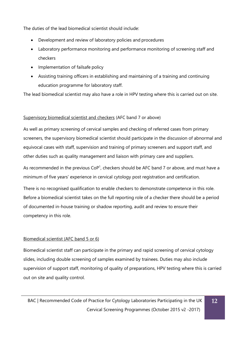The duties of the lead biomedical scientist should include:

- Development and review of laboratory policies and procedures
- Laboratory performance monitoring and performance monitoring of screening staff and checkers
- Implementation of failsafe policy
- Assisting training officers in establishing and maintaining of a training and continuing education programme for laboratory staff.

The lead biomedical scientist may also have a role in HPV testing where this is carried out on site.

# Supervisory biomedical scientist and checkers (AFC band 7 or above)

As well as primary screening of cervical samples and checking of referred cases from primary screeners, the supervisory biomedical scientist should participate in the discussion of abnormal and equivocal cases with staff, supervision and training of primary screeners and support staff, and other duties such as quality management and liaison with primary care and suppliers.

As recommended in the previous  $\text{CoP}^1$ , checkers should be AFC band 7 or above, and must have a minimum of five years' experience in cervical cytology post registration and certification.

There is no recognised qualification to enable checkers to demonstrate competence in this role. Before a biomedical scientist takes on the full reporting role of a checker there should be a period of documented in-house training or shadow reporting, audit and review to ensure their competency in this role.

# Biomedical scientist (AFC band 5 or 6)

Biomedical scientist staff can participate in the primary and rapid screening of cervical cytology slides, including double screening of samples examined by trainees. Duties may also include supervision of support staff, monitoring of quality of preparations, HPV testing where this is carried out on site and quality control.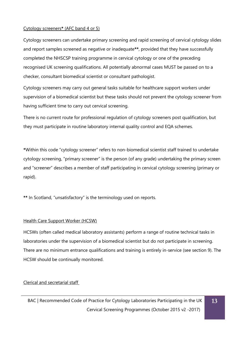### Cytology screeners**\*** (AFC band 4 or 5)

Cytology screeners can undertake primary screening and rapid screening of cervical cytology slides and report samples screened as negative or inadequate**\*\***, provided that they have successfully completed the NHSCSP training programme in cervical cytology or one of the preceding recognised UK screening qualifications. All potentially abnormal cases MUST be passed on to a checker, consultant biomedical scientist or consultant pathologist.

Cytology screeners may carry out general tasks suitable for healthcare support workers under supervision of a biomedical scientist but these tasks should not prevent the cytology screener from having sufficient time to carry out cervical screening.

There is no current route for professional regulation of cytology screeners post qualification, but they must participate in routine laboratory internal quality control and EQA schemes.

**\***Within this code "cytology screener" refers to non-biomedical scientist staff trained to undertake cytology screening, "primary screener" is the person (of any grade) undertaking the primary screen and "screener" describes a member of staff participating in cervical cytology screening (primary or rapid).

**\*\*** In Scotland, "unsatisfactory" is the terminology used on reports.

### Health Care Support Worker (HCSW)

HCSWs (often called medical laboratory assistants) perform a range of routine technical tasks in laboratories under the supervision of a biomedical scientist but do not participate in screening. There are no minimum entrance qualifications and training is entirely in-service (see section 9). The HCSW should be continually monitored.

# Clerical and secretarial staff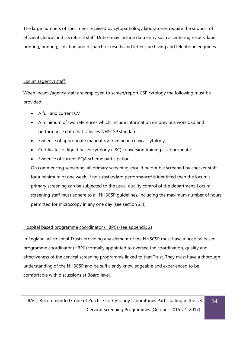The large numbers of specimens received by cytopathology laboratories require the support of efficient clerical and secretarial staff. Duties may include data entry such as entering results, label printing, printing, collating and dispatch of results and letters, archiving and telephone enquiries.

# Locum (agency) staff

When locum /agency staff are employed to screen/report CSP cytology the following must be provided:

- A full and current CV
- A minimum of two references which include information on previous workload and performance data that satisfies NHSCSP standards
- Evidence of appropriate mandatory training in cervical cytology
- Certificates of liquid based cytology (LBC) conversion training as appropriate
- Evidence of current EQA scheme participation.

On commencing screening, all primary screening should be double screened by checker staff for a minimum of one week. If no substandard performance<sup>2</sup> is identified then the locum's primary screening can be subjected to the usual quality control of the department. Locum screening staff must adhere to all NHSCSP guidelines, including the maximum number of hours permitted for microscopy in any one day (see section 2.4).

# Hospital based programme coordinator (HBPC) (see appendix 2)

In England, all Hospital Trusts providing any element of the NHSCSP must have a hospital based programme coordinator (HBPC) formally appointed to oversee the coordination, quality and effectiveness of the cervical screening programme linked to that Trust. They must have a thorough understanding of the NHSCSP and be sufficiently knowledgeable and experienced to be comfortable with discussions at Board level.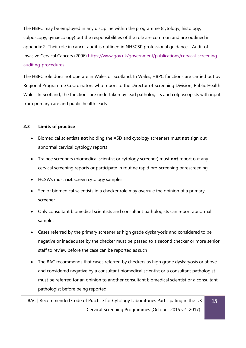The HBPC may be employed in any discipline within the programme (cytology, histology, colposcopy, gynaecology) but the responsibilities of the role are common and are outlined in appendix 2. Their role in cancer audit is outlined in NHSCSP professional guidance - Audit of Invasive Cervical Cancers (2006) [https://www.gov.uk/government/publications/cervical-screening](https://www.gov.uk/government/publications/cervical-screening-auditing-procedures)[auditing-procedures](https://www.gov.uk/government/publications/cervical-screening-auditing-procedures)

The HBPC role does not operate in Wales or Scotland. In Wales, HBPC functions are carried out by Regional Programme Coordinators who report to the Director of Screening Division, Public Health Wales. In Scotland, the functions are undertaken by lead pathologists and colposcopists with input from primary care and public health leads.

# <span id="page-15-0"></span>**2.3 Limits of practice**

- Biomedical scientists **not** holding the ASD and cytology screeners must **not** sign out abnormal cervical cytology reports
- Trainee screeners (biomedical scientist or cytology screener) must **not** report out any cervical screening reports or participate in routine rapid pre-screening or rescreening
- HCSWs must **not** screen cytology samples
- Senior biomedical scientists in a checker role may overrule the opinion of a primary screener
- Only consultant biomedical scientists and consultant pathologists can report abnormal samples
- Cases referred by the primary screener as high grade dyskaryosis and considered to be negative or inadequate by the checker must be passed to a second checker or more senior staff to review before the case can be reported as such
- The BAC recommends that cases referred by checkers as high grade dyskaryosis or above and considered negative by a consultant biomedical scientist or a consultant pathologist must be referred for an opinion to another consultant biomedical scientist or a consultant pathologist before being reported.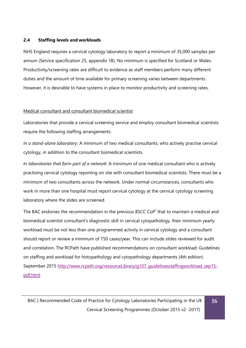### <span id="page-16-0"></span>**2.4 Staffing levels and workloads**

NHS England requires a cervical cytology laboratory to report a minimum of 35,000 samples per annum (Service specification 25, appendix 1B). No minimum is specified for Scotland or Wales. Productivity/screening rates are difficult to evidence as staff members perform many different duties and the amount of time available for primary screening varies between departments. However, it is desirable to have systems in place to monitor productivity and screening rates.

### Medical consultant and consultant biomedical scientist

Laboratories that provide a cervical screening service and employ consultant biomedical scientists require the following staffing arrangements:

*In a stand-alone laboratory*: A minimum of two medical consultants, who actively practise cervical cytology, in addition to the consultant biomedical scientists.

*In laboratories that form part of a network*: A minimum of one medical consultant who is actively practising cervical cytology reporting on site with consultant biomedical scientists. There must be a minimum of two consultants across the network. Under normal circumstances, consultants who work in more than one hospital must report cervical cytology at the cervical cytology screening laboratory where the slides are screened.

The BAC endorses the recommendation in the previous BSCC CoP<sup>1</sup> that to maintain a medical and biomedical scientist consultant's diagnostic skill in cervical cytopathology, their minimum yearly workload must be not less than one programmed activity in cervical cytology and a consultant should report or review a minimum of 750 cases/year. This can include slides reviewed for audit and correlation. The RCPath have published recommendations on consultant workload: Guidelines on staffing and workload for histopathology and cytopathology departments (4th edition) September 2015 [http://www.rcpath.org/resourceLibrary/g107\\_guidelinesstaffingworkload\\_sep15](http://www.rcpath.org/resourceLibrary/g107_guidelinesstaffingworkload_sep15-pdf.html) [pdf.html](http://www.rcpath.org/resourceLibrary/g107_guidelinesstaffingworkload_sep15-pdf.html)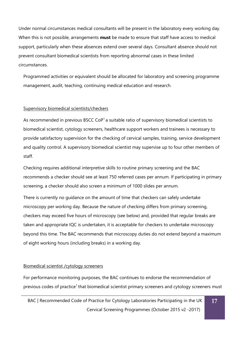Under normal circumstances medical consultants will be present in the laboratory every working day. When this is not possible, arrangements **must** be made to ensure that staff have access to medical support, particularly when these absences extend over several days. Consultant absence should not prevent consultant biomedical scientists from reporting abnormal cases in these limited circumstances.

Programmed activities or equivalent should be allocated for laboratory and screening programme management, audit, teaching, continuing medical education and research.

### Supervisory biomedical scientists/checkers

As recommended in previous BSCC CoP<sup>1</sup> a suitable ratio of supervisory biomedical scientists to biomedical scientist, cytology screeners, healthcare support workers and trainees is necessary to provide satisfactory supervision for the checking of cervical samples, training, service development and quality control. A supervisory biomedical scientist may supervise up to four other members of staff.

Checking requires additional interpretive skills to routine primary screening and the BAC recommends a checker should see at least 750 referred cases per annum. If participating in primary screening, a checker should also screen a minimum of 1000 slides per annum.

There is currently no guidance on the amount of time that checkers can safely undertake microscopy per working day. Because the nature of checking differs from primary screening, checkers may exceed five hours of microscopy (see below) and, provided that regular breaks are taken and appropriate IQC is undertaken, it is acceptable for checkers to undertake microscopy beyond this time. The BAC recommends that microscopy duties do not extend beyond a maximum of eight working hours (including breaks) in a working day.

### Biomedical scientist /cytology screeners

For performance monitoring purposes, the BAC continues to endorse the recommendation of previous codes of practice<sup>1</sup> that biomedical scientist primary screeners and cytology screeners must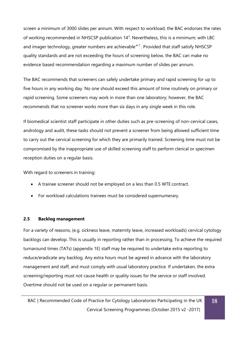screen a minimum of 3000 slides per annum. With respect to workload, the BAC endorses the rates of working recommended in NHSCSP publication 14<sup>3</sup>. Nevertheless, this is a minimum; with LBC and imager technology, greater numbers are achievable $4-7$ . Provided that staff satisfy NHSCSP quality standards and are not exceeding the hours of screening below, the BAC can make no evidence based recommendation regarding a maximum number of slides per annum.

The BAC recommends that screeners can safely undertake primary and rapid screening for up to five hours in any working day. No one should exceed this amount of time routinely on primary or rapid screening. Some screeners may work in more than one laboratory; however, the BAC recommends that no screener works more than six days in any single week in this role.

If biomedical scientist staff participate in other duties such as pre-screening of non-cervical cases, andrology and audit, these tasks should not prevent a screener from being allowed sufficient time to carry out the cervical screening for which they are primarily trained. Screening time must not be compromised by the inappropriate use of skilled screening staff to perform clerical or specimen reception duties on a regular basis.

With regard to screeners in training:

- A trainee screener should not be employed on a less than 0.5 WTE contract.
- For workload calculations trainees must be considered supernumerary.

# <span id="page-18-0"></span>**2.5 Backlog management**

For a variety of reasons, (e.g. sickness leave, maternity leave, increased workloads) cervical cytology backlogs can develop. This is usually in reporting rather than in processing. To achieve the required turnaround times (TATs) (appendix 1E) staff may be required to undertake extra reporting to reduce/eradicate any backlog. Any extra hours must be agreed in advance with the laboratory management and staff, and must comply with usual laboratory practice. If undertaken, the extra screening/reporting must not cause health or quality issues for the service or staff involved. Overtime should not be used on a regular or permanent basis.

**18**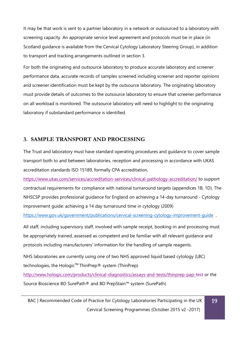It may be that work is sent to a partner laboratory in a network or outsourced to a laboratory with screening capacity. An appropriate service level agreement and protocols must be in place (in Scotland guidance is available from the Cervical Cytology Laboratory Steering Group), in addition to transport and tracking arrangements outlined in section 3.

For both the originating and outsource laboratory to produce accurate laboratory and screener performance data, accurate records of samples screened including screener and reporter opinions and screener identification must be kept by the outsource laboratory. The originating laboratory must provide details of outcomes to the outsource laboratory to ensure that screener performance on all workload is monitored. The outsource laboratory will need to highlight to the originating laboratory if substandard performance is identified.

# <span id="page-19-0"></span>**3. SAMPLE TRANSPORT AND PROCESSING**

The Trust and laboratory must have standard operating procedures and guidance to cover sample transport both to and between laboratories, reception and processing in accordance with UKAS accreditation standards ISO 15189, formally CPA accreditation,

<https://www.ukas.com/services/accreditation-services/clinical-pathology-accreditation/> to support contractual requirements for compliance with national turnaround targets (appendices 1B, 1D). The NHSCSP provides professional guidance for England on achieving a 14-day turnaround - Cytology improvement guide: achieving a 14 day turnaround time in cytology (2009)

https://www.gov.uk/government/publications/cervical-screening-cytology-improvement-quide.

All staff, including supervisory staff, involved with sample receipt, booking-in and processing must be appropriately trained, assessed as competent and be familiar with all relevant guidance and protocols including manufacturers' information for the handling of sample reagents.

NHS laboratories are currently using one of two NHS approved liquid based cytology (LBC) technologies, the Hologic<sup>™</sup> ThinPrep® system (ThinPrep)

<http://www.hologic.com/products/clinical-diagnostics/assays-and-tests/thinprep-pap-test> or the Source Bioscience BD SurePath® and BD PrepStain™ system (SurePath)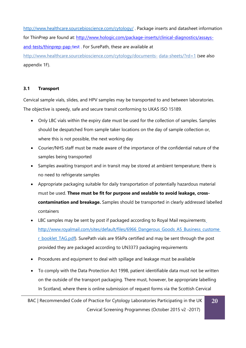<http://www.healthcare.sourcebioscience.com/cytology/> . Package inserts and datasheet information for ThinPrep are found at: [http://www.hologic.com/package-inserts/clinical-diagnostics/assays](http://www.hologic.com/package-inserts/clinical-diagnostics/assays-and-tests/thinprep-pap-test)[and-tests/thinprep-pap-test](http://www.hologic.com/package-inserts/clinical-diagnostics/assays-and-tests/thinprep-pap-test). For SurePath, these are available at [http://www.healthcare.sourcebioscience.com/cytology/documents-](http://www.healthcare.sourcebioscience.com/cytology/documents-data-sheets/?rd=1) [data-sheets/?rd=1](http://www.healthcare.sourcebioscience.com/cytology/documents-data-sheets/?rd=1) (see also appendix 1F).

### <span id="page-20-0"></span>**3.1 Transport**

Cervical sample vials, slides, and HPV samples may be transported to and between laboratories. The objective is speedy, safe and secure transit conforming to UKAS ISO 15189.

- Only LBC vials within the expiry date must be used for the collection of samples. Samples should be despatched from sample taker locations on the day of sample collection or, where this is not possible, the next working day
- Courier/NHS staff must be made aware of the importance of the confidential nature of the samples being transported
- Samples awaiting transport and in transit may be stored at ambient temperature; there is no need to refrigerate samples
- Appropriate packaging suitable for daily transportation of potentially hazardous material must be used. **These must be fit for purpose and sealable to avoid leakage, crosscontamination and breakage.** Samples should be transported in clearly addressed labelled containers
- LBC samples may be sent by post if packaged according to Royal Mail requirements [http://www.royalmail.com/sites/default/files/6966\\_Dangerous\\_Goods\\_A5\\_Business\\_custome](http://www.royalmail.com/sites/default/files/6966_Dangerous_Goods_A5_Business_customer_booklet_TAG.pdf) r booklet TAG.pdf). SurePath vials are 95kPa certified and may be sent through the post provided they are packaged according to UN3373 packaging requirements
- Procedures and equipment to deal with spillage and leakage must be available
- To comply with the Data Protection Act 1998, patient identifiable data must not be written on the outside of the transport packaging. There must, however, be appropriate labelling In Scotland, where there is online submission of request forms via the Scottish Cervical

BAC | Recommended Code of Practice for Cytology Laboratories Participating in the UK Cervical Screening Programmes (October 2015 v2 -2017)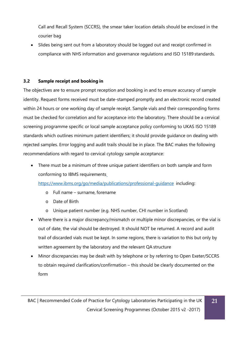Call and Recall System (SCCRS), the smear taker location details should be enclosed in the courier bag

• Slides being sent out from a laboratory should be logged out and receipt confirmed in compliance with NHS information and governance regulations and ISO 15189 standards.

# <span id="page-21-0"></span>**3.2 Sample receipt and booking in**

The objectives are to ensure prompt reception and booking in and to ensure accuracy of sample identity. Request forms received must be date-stamped promptly and an electronic record created within 24 hours or one working day of sample receipt. Sample vials and their corresponding forms must be checked for correlation and for acceptance into the laboratory. There should be a cervical screening programme specific or local sample acceptance policy conforming to UKAS ISO 15189 standards which outlines minimum patient identifiers; it should provide guidance on dealing with rejected samples. Error logging and audit trails should be in place. The BAC makes the following recommendations with regard to cervical cytology sample acceptance:

• There must be a minimum of three unique patient identifiers on both sample and form conforming to IBMS requirements

<https://www.ibms.org/go/media/publications/professional-guidance> including:

- o Full name surname, forename
- o Date of Birth
- o Unique patient number (e.g. NHS number, CHI number in Scotland)
- Where there is a major discrepancy/mismatch or multiple minor discrepancies, or the vial is out of date, the vial should be destroyed. It should NOT be returned. A record and audit trail of discarded vials must be kept. In some regions, there is variation to this but only by written agreement by the laboratory and the relevant QA structure
- Minor discrepancies may be dealt with by telephone or by referring to Open Exeter/SCCRS to obtain required clarification/confirmation – this should be clearly documented on the form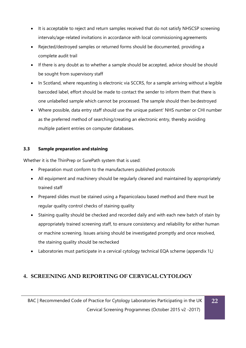- It is acceptable to reject and return samples received that do not satisfy NHSCSP screening intervals/age-related invitations in accordance with local commissioning agreements
- Rejected/destroyed samples or returned forms should be documented, providing a complete audit trail
- If there is any doubt as to whether a sample should be accepted, advice should be should be sought from supervisory staff
- In Scotland, where requesting is electronic via SCCRS, for a sample arriving without a legible barcoded label, effort should be made to contact the sender to inform them that there is one unlabelled sample which cannot be processed. The sample should then be destroyed
- Where possible, data entry staff should use the unique patient' NHS number or CHI number as the preferred method of searching/creating an electronic entry, thereby avoiding multiple patient entries on computer databases.

# <span id="page-22-0"></span>**3.3 Sample preparation and staining**

Whether it is the ThinPrep or SurePath system that is used:

- Preparation must conform to the manufacturers published protocols
- All equipment and machinery should be regularly cleaned and maintained by appropriately trained staff
- Prepared slides must be stained using a Papanicolaou based method and there must be regular quality control checks of staining quality
- Staining quality should be checked and recorded daily and with each new batch of stain by appropriately trained screening staff, to ensure consistency and reliability for either human or machine screening. Issues arising should be investigated promptly and once resolved, the staining quality should be rechecked
- Laboratories must participate in a cervical cytology technical EQA scheme (appendix 1L*)*

# <span id="page-22-1"></span>**4. SCREENING AND REPORTING OF CERVICALCYTOLOGY**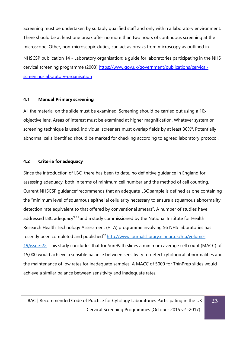Screening must be undertaken by suitably qualified staff and only within a laboratory environment. There should be at least one break after no more than two hours of continuous screening at the microscope. Other, non-microscopic duties, can act as breaks from microscopy as outlined in NHSCSP publication 14 - Laboratory organisation: a guide for laboratories participating in the NHS cervical screening programme (2003) [https://www.gov.uk/government/publications/cervical](https://www.gov.uk/government/publications/cervical-screening-laboratory-organisation)[screening-laboratory-organisation](https://www.gov.uk/government/publications/cervical-screening-laboratory-organisation)

#### <span id="page-23-0"></span>**4.1 Manual Primary screening**

All the material on the slide must be examined. Screening should be carried out using a 10x objective lens. Areas of interest must be examined at higher magnification. Whatever system or screening technique is used, individual screeners must overlap fields by at least 30% $^8$ . Potentially abnormal cells identified should be marked for checking according to agreed laboratory protocol.

#### <span id="page-23-1"></span>**4.2 Criteria for adequacy**

Since the introduction of LBC, there has been to date, no definitive guidance in England for assessing adequacy, both in terms of minimum cell number and the method of cell counting. Current NHSCSP guidance<sup>2</sup> recommends that an adequate LBC sample is defined as one containing the "minimum level of squamous epithelial cellularity necessary to ensure a squamous abnormality detection rate equivalent to that offered by conventional smears". A number of studies have addressed LBC adequacy<sup>9-11</sup> and a study commissioned by the National Institute for Health Research Health Technology Assessment (HTA) programme involving 56 NHS laboratories has recently been completed and published<sup>12</sup> [http://www.journalslibrary.nihr.ac.uk/hta/volume-](http://www.journalslibrary.nihr.ac.uk/hta/volume-19/issue-22)[19/issue-22. T](http://www.journalslibrary.nihr.ac.uk/hta/volume-19/issue-22)his study concludes that for SurePath slides a minimum average cell count (MACC) of 15,000 would achieve a sensible balance between sensitivity to detect cytological abnormalities and the maintenance of low rates for inadequate samples. A MACC of 5000 for ThinPrep slides would achieve a similar balance between sensitivity and inadequate rates.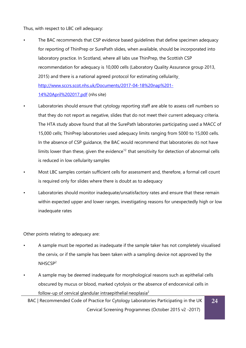Thus, with respect to LBC cell adequacy:

- The BAC recommends that CSP evidence based quidelines that define specimen adequacy for reporting of ThinPrep or SurePath slides, when available, should be incorporated into laboratory practice. In Scotland, where all labs use ThinPrep, the Scottish CSP recommendation for adequacy is 10,000 cells (Laboratory Quality Assurance group 2013, 2015) and there is a national agreed protocol for estimating cellularity [http://www.sccrs.scot.nhs.uk/Documents/2017-04-18%20nap%201-](http://www.sccrs.scot.nhs.uk/Documents/2017-04-18%20nap%201-14%20April%202017.pdf) [14%20April%202017.pdf](http://www.sccrs.scot.nhs.uk/Documents/2017-04-18%20nap%201-14%20April%202017.pdf) (nhs site)
- Laboratories should ensure that cytology reporting staff are able to assess cell numbers so that they do not report as negative, slides that do not meet their current adequacy criteria. The HTA study above found that all the SurePath laboratories participating used a MACC of 15,000 cells; ThinPrep laboratories used adequacy limits ranging from 5000 to 15,000 cells. In the absence of CSP guidance, the BAC would recommend that laboratories do not have limits lower than these, given the evidence<sup>12</sup> that sensitivity for detection of abnormal cells is reduced in low cellularity samples
- Most LBC samples contain sufficient cells for assessment and, therefore, a formal cell count is required only for slides where there is doubt as to adequacy
- Laboratories should monitor inadequate/unsatisfactory rates and ensure that these remain within expected upper and lower ranges, investigating reasons for unexpectedly high or low inadequate rates

Other points relating to adequacy are:

- A sample must be reported as inadequate if the sample taker has not completely visualised the cervix, or if the sample has been taken with a sampling device not approved by the NHSCSP<sup>2</sup>
- A sample may be deemed inadequate for morphological reasons such as epithelial cells obscured by mucus or blood, marked cytolysis or the absence of endocervical cells in follow-up of cervical glandular intraepithelial neoplasia<sup>2</sup>

BAC | Recommended Code of Practice for Cytology Laboratories Participating in the UK Cervical Screening Programmes (October 2015 v2 -2017) **24**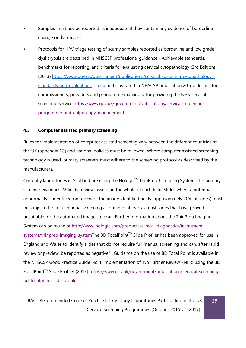- Samples must not be reported as inadequate if they contain any evidence of borderline change or dyskaryosis
- Protocols for HPV triage testing of scanty samples reported as borderline and low grade dyskaryosis are described in NHSCSP professional guidance - Achievable standards, benchmarks for reporting, and criteria for evaluating cervical cytopathology (3rd Edition) (2013) [https://www.gov.uk/government/publications/cervical-screening-cytopathology](https://www.gov.uk/government/publications/cervical-screening-cytopathology-standards-and-evaluation-criteria)[standards-and-evaluation-criteria a](https://www.gov.uk/government/publications/cervical-screening-cytopathology-standards-and-evaluation-criteria)nd illustrated in NHSCSP publication 20: guidelines for commissioners, providers and programme managers, for providing the NHS cervical screening service [https://www.gov.uk/government/publications/cervical-screening](https://www.gov.uk/government/publications/cervical-screening-programme-and-colposcopy-management)[programme-and-colposcopy-management](https://www.gov.uk/government/publications/cervical-screening-programme-and-colposcopy-management)

### <span id="page-25-0"></span>**4.3 Computer assisted primary screening**

Rules for implementation of computer assisted screening vary between the different countries of the UK (appendix 1G) and national policies must be followed. Where computer assisted screening technology is used, primary screeners must adhere to the screening protocol as described by the manufacturers.

Currently laboratories in Scotland are using the Hologic<sup>™</sup> ThinPrep<sup>®</sup> Imaging System. The primary screener examines 22 fields of view, assessing the whole of each field. Slides where a potential abnormality is identified on review of the image identified fields (approximately 20% of slides) must be subjected to a full manual screening as outlined above, as must slides that have proved unsuitable for the automated imager to scan. Further information about the ThinPrep Imaging System can be found at [http://www.hologic.com/products/clinical-diagnostics/instrument](http://www.hologic.com/products/clinical-diagnostics/instrument-systems/thinprep-imaging-system)[systems/thinprep-imaging-systemT](http://www.hologic.com/products/clinical-diagnostics/instrument-systems/thinprep-imaging-system)he BD FocalPoint™ Slide Profiler has been approved for use in England and Wales to identify slides that do not require full manual screening and can, after rapid review or preview, be reported as negative<sup>13</sup>. Guidance on the use of BD Focal Point is available in the NHSCSP Good Practice Guide No 4: Implementation of 'No Further Review' (NFR) using the BD FocalPoint<sup>™</sup> Slide Profiler (2013) [https://www.gov.uk/government/publications/cervical-screening](https://www.gov.uk/government/publications/cervical-screening-bd-focalpoint-slide-profiler)[bd-focalpoint-slide-profiler](https://www.gov.uk/government/publications/cervical-screening-bd-focalpoint-slide-profiler)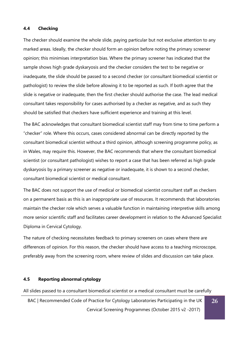#### <span id="page-26-0"></span>**4.4 Checking**

The checker should examine the whole slide, paying particular but not exclusive attention to any marked areas. Ideally, the checker should form an opinion before noting the primary screener opinion; this minimises interpretation bias. Where the primary screener has indicated that the sample shows high grade dyskaryosis and the checker considers the test to be negative or inadequate, the slide should be passed to a second checker (or consultant biomedical scientist or pathologist) to review the slide before allowing it to be reported as such. If both agree that the slide is negative or inadequate, then the first checker should authorise the case. The lead medical consultant takes responsibility for cases authorised by a checker as negative, and as such they should be satisfied that checkers have sufficient experience and training at this level.

The BAC acknowledges that consultant biomedical scientist staff may from time to time perform a "checker" role. Where this occurs, cases considered abnormal can be directly reported by the consultant biomedical scientist without a third opinion, although screening programme policy, as in Wales, may require this. However, the BAC recommends that where the consultant biomedical scientist (or consultant pathologist) wishes to report a case that has been referred as high grade dyskaryosis by a primary screener as negative or inadequate, it is shown to a second checker, consultant biomedical scientist or medical consultant.

The BAC does not support the use of medical or biomedical scientist consultant staff as checkers on a permanent basis as this is an inappropriate use of resources. It recommends that laboratories maintain the checker role which serves a valuable function in maintaining interpretive skills among more senior scientific staff and facilitates career development in relation to the Advanced Specialist Diploma in Cervical Cytology.

The nature of checking necessitates feedback to primary screeners on cases where there are differences of opinion. For this reason, the checker should have access to a teaching microscope, preferably away from the screening room, where review of slides and discussion can take place.

#### <span id="page-26-1"></span>**4.5 Reporting abnormal cytology**

All slides passed to a consultant biomedical scientist or a medical consultant must be carefully

BAC | Recommended Code of Practice for Cytology Laboratories Participating in the UK Cervical Screening Programmes (October 2015 v2 -2017) **26**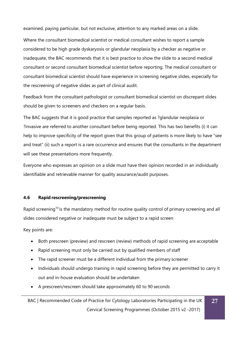examined, paying particular, but not exclusive, attention to any marked areas on a slide.

Where the consultant biomedical scientist or medical consultant wishes to report a sample considered to be high grade dyskaryosis or glandular neoplasia by a checker as negative or inadequate, the BAC recommends that it is best practice to show the slide to a second medical consultant or second consultant biomedical scientist before reporting. The medical consultant or consultant biomedical scientist should have experience in screening negative slides, especially for the rescreening of negative slides as part of clinical audit.

Feedback from the consultant pathologist or consultant biomedical scientist on discrepant slides should be given to screeners and checkers on a regular basis.

The BAC suggests that it is good practice that samples reported as ?glandular neoplasia or ?invasive are referred to another consultant before being reported. This has two benefits (i) it can help to improve specificity of the report given that this group of patients is more likely to have "see and treat" (ii) such a report is a rare occurrence and ensures that the consultants in the department will see these presentations more frequently.

Everyone who expresses an opinion on a slide must have their opinion recorded in an individually identifiable and retrievable manner for quality assurance/audit purposes.

### <span id="page-27-0"></span>**4.6 Rapid rescreening/prescreening**

Rapid screening<sup>14</sup> is the mandatory method for routine quality control of primary screening and all slides considered negative or inadequate must be subject to a rapid screen

Key points are:

- Both prescreen (preview) and rescreen (review) methods of rapid screening are acceptable
- Rapid screening must only be carried out by qualified members of staff
- The rapid screener must be a different individual from the primary screener
- Individuals should undergo training in rapid screening before they are permitted to carry it out and in-house evaluation should be undertaken
- A prescreen/rescreen should take approximately 60 to 90 seconds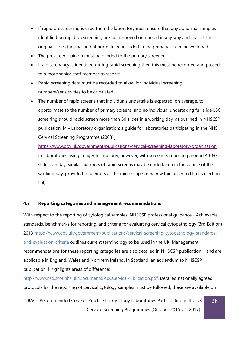- If rapid prescreening is used then the laboratory must ensure that any abnormal samples identified on rapid prescreening are not removed or marked in any way and that all the original slides (normal and abnormal) are included in the primary screening workload
- The prescreen opinion must be blinded to the primary screener
- If a discrepancy is identified during rapid screening then this must be recorded and passed to a more senior staff member to resolve
- Rapid screening data must be recorded to allow for individual screening numbers/sensitivities to be calculated
- The number of rapid screens that individuals undertake is expected, on average, to approximate to the number of primary screens, and no individual undertaking full slide LBC screening should rapid screen more than 50 slides in a working day, as outlined in NHSCSP publication 14 - Laboratory organisation: a guide for laboratories participating in the NHS Cervical Screening Programme (2003)

[https://www.gov.uk/government/publications/cervical-screening-laboratory-organisation.](https://www.gov.uk/government/publications/cervical-screening-laboratory-organisation) In laboratories using imager technology, however, with screeners reporting around 40-60 slides per day, similar numbers of rapid screens may be undertaken in the course of the working day, provided total hours at the microscope remain within accepted limits (section 2.4).

# <span id="page-28-0"></span>**4.7 Reporting categories and managementrecommendations**

With respect to the reporting of cytological samples, NHSCSP professional guidance - Achievable standards, benchmarks for reporting, and criteria for evaluating cervical cytopathology (3rd Edition) 2013 [https://www.gov.uk/government/publications/cervical-screening-cytopathology-standards](https://www.gov.uk/government/publications/cervical-screening-cytopathology-standards-and-evaluation-criteria)[and-evaluation-criteria](https://www.gov.uk/government/publications/cervical-screening-cytopathology-standards-and-evaluation-criteria) outlines current terminology to be used in the UK. Management recommendations for these reporting categories are also detailed in NHSCSP publication 1 and are applicable in England, Wales and Northern Ireland. In Scotland, an addendum to NHSCSP publication 1 highlights areas of difference:

[http://www.nsd.scot.nhs.uk/Documents/ABCCervicalPublication.pdf. D](http://www.nsd.scot.nhs.uk/Documents/ABCCervicalPublication.pdf)etailed nationally agreed protocols for the reporting of cervical cytology samples must be followed; these are available on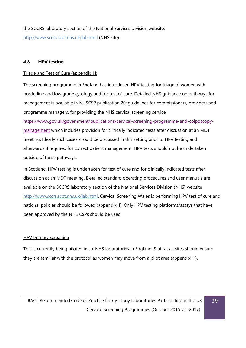the SCCRS laboratory section of the National Services Division website: <http://www.sccrs.scot.nhs.uk/lab.html> (NHS site).

### <span id="page-29-0"></span>**4.8 HPV testing**

#### Triage and Test of Cure (appendix 1I)

The screening programme in England has introduced HPV testing for triage of women with borderline and low grade cytology and for test of cure. Detailed NHS guidance on pathways for management is available in NHSCSP publication 20: guidelines for commissioners, providers and programme managers, for providing the NHS cervical screening service

[https://www.gov.uk/government/publications/cervical-screening-programme-and-colposcopy](https://www.gov.uk/government/publications/cervical-screening-programme-and-colposcopy-management)[management](https://www.gov.uk/government/publications/cervical-screening-programme-and-colposcopy-management) which includes provision for clinically indicated tests after discussion at an MDT meeting. Ideally such cases should be discussed in this setting prior to HPV testing and afterwards if required for correct patient management. HPV tests should not be undertaken outside of these pathways.

In Scotland, HPV testing is undertaken for test of cure and for clinically indicated tests after discussion at an MDT meeting. Detailed standard operating procedures and user manuals are available on the SCCRS laboratory section of the National Services Division (NHS) website [http://www.sccrs.scot.nhs.uk/lab.html. C](http://www.sccrs.scot.nhs.uk/lab.html)ervical Screening Wales is performing HPV test of cure and national policies should be followed (appendix1I). Only HPV testing platforms/assays that have been approved by the NHS CSPs should be used.

### HPV primary screening

This is currently being piloted in six NHS laboratories in England. Staff at all sites should ensure they are familiar with the protocol as women may move from a pilot area (appendix 1I).

**29**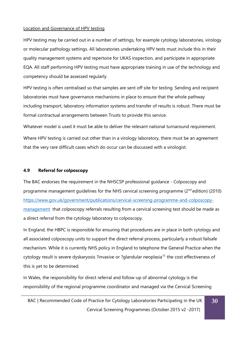#### Location and Governance of HPV testing

HPV testing may be carried out in a number of settings, for example cytology laboratories, virology or molecular pathology settings. All laboratories undertaking HPV tests must include this in their quality management systems and repertoire for UKAS inspection, and participate in appropriate EQA. All staff performing HPV testing must have appropriate training in use of the technology and competency should be assessed regularly.

HPV testing is often centralised so that samples are sent off site for testing. Sending and recipient laboratories must have governance mechanisms in place to ensure that the whole pathway including transport, laboratory information systems and transfer of results is robust. There must be formal contractual arrangements between Trusts to provide this service.

Whatever model is used it must be able to deliver the relevant national turnaround requirement. Where HPV testing is carried out other than in a virology laboratory, there must be an agreement that the very rare difficult cases which do occur can be discussed with a virologist.

#### <span id="page-30-0"></span>**4.9 Referral for colposcopy**

The BAC endorses the requirement in the NHSCSP professional guidance - Colposcopy and programme management guidelines for the NHS cervical screening programme (2<sup>nd</sup> edition) (2010) [https://www.gov.uk/government/publications/cervical-screening-programme-and-colposcopy](https://www.gov.uk/government/publications/cervical-screening-programme-and-colposcopy-management)[management](https://www.gov.uk/government/publications/cervical-screening-programme-and-colposcopy-management) that colposcopy referrals resulting from a cervical screening test should be made as a direct referral from the cytology laboratory to colposcopy.

In England, the HBPC is responsible for ensuring that procedures are in place in both cytology and all associated colposcopy units to support the direct referral process, particularly a robust failsafe mechanism. While it is currently NHS policy in England to telephone the General Practice when the cytology result is severe dyskaryosis ?invasive or ?glandular neoplasia<sup>15</sup> the cost effectiveness of this is yet to be determined.

In Wales, the responsibility for direct referral and follow-up of abnormal cytology is the responsibility of the regional programme coordinator and managed via the Cervical Screening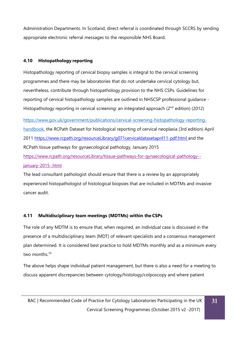Administration Departments. In Scotland, direct referral is coordinated through SCCRS by sending appropriate electronic referral messages to the responsible NHS Board.

# <span id="page-31-0"></span>**4.10 Histopathology reporting**

Histopathology reporting of cervical biopsy samples is integral to the cervical screening programmes and there may be laboratories that do not undertake cervical cytology but, nevertheless, contribute through histopathology provision to the NHS CSPs. Guidelines for reporting of cervical histopathology samples are outlined in NHSCSP professional guidance - Histopathology reporting in cervical screening: an integrated approach (2<sup>nd</sup> edition) (2012)

[https://www.gov.uk/government/publications/cervical-screening-histopathology-reporting](https://www.gov.uk/government/publications/cervical-screening-histopathology-reporting-handbook)[handbook, t](https://www.gov.uk/government/publications/cervical-screening-histopathology-reporting-handbook)he RCPath Dataset for histological reporting of cervical neoplasia (3rd edition) April 2011 <https://www.rcpath.org/resourceLibrary/g071cervicaldatasetapril11-pdf.html> and the RCPath tissue pathways for gynaecological pathology, January 2015 [https://www.rcpath.org/resourceLibrary/tissue-pathways-for-gynaecological-pathology-](https://www.rcpath.org/resourceLibrary/tissue-pathways-for-gynaecological-pathology--january-2015-.html) [january-2015-.html](https://www.rcpath.org/resourceLibrary/tissue-pathways-for-gynaecological-pathology--january-2015-.html)

The lead consultant pathologist should ensure that there is a review by an appropriately experienced histopathologist of histological biopsies that are included in MDTMs and invasive cancer audit.

# <span id="page-31-1"></span>**4.11 Multidisciplinary team meetings (MDTMs) within the CSPs**

The role of any MDTM is to ensure that, when required, an individual case is discussed in the presence of a multidisciplinary team (MDT) of relevant specialists and a consensus management plan determined. It is considered best practice to hold MDTMs monthly and as a minimum every two months.<sup>16</sup>

The above helps shape individual patient management, but there is also a need for a meeting to discuss apparent discrepancies between cytology/histology/colposcopy and where patient

**31**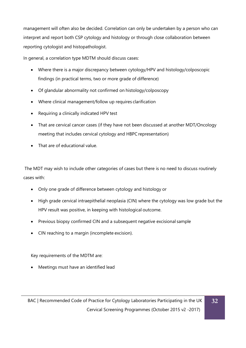management will often also be decided. Correlation can only be undertaken by a person who can interpret and report both CSP cytology and histology or through close collaboration between reporting cytologist and histopathologist.

In general, a correlation type MDTM should discuss cases:

- Where there is a major discrepancy between cytology/HPV and histology/colposcopic findings (in practical terms, two or more grade of difference)
- Of glandular abnormality not confirmed on histology/colposcopy
- Where clinical management/follow up requires clarification
- Requiring a clinically indicated HPV test
- That are cervical cancer cases (if they have not been discussed at another MDT/Oncology meeting that includes cervical cytology and HBPC representation)
- That are of educational value.

The MDT may wish to include other categories of cases but there is no need to discuss routinely cases with:

- Only one grade of difference between cytology and histology or
- High grade cervical intraepithelial neoplasia (CIN) where the cytology was low grade but the HPV result was positive, in keeping with histological outcome.
- Previous biopsy confirmed CIN and a subsequent negative excisional sample
- CIN reaching to a margin (incomplete excision).

Key requirements of the MDTM are:

• Meetings must have an identified lead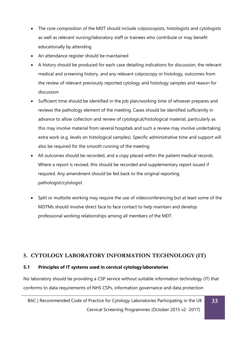- The core composition of the MDT should include colposcopists, histologists and cytologists as well as relevant nursing/laboratory staff or trainees who contribute or may benefit educationally by attending
- An attendance register should be maintained
- A history should be produced for each case detailing indications for discussion, the relevant medical and screening history, and any relevant colposcopy or histology, outcomes from the review of relevant previously reported cytology and histology samples and reason for discussion
- Sufficient time should be identified in the job plan/working time of whoever prepares and reviews the pathology element of the meeting. Cases should be identified sufficiently in advance to allow collection and review of cytological/histological material, particularly as this may involve material from several hospitals and such a review may involve undertaking extra work (e.g. levels on histological samples). Specific administrative time and support will also be required for the smooth running of the meeting
- All outcomes should be recorded, and a copy placed within the patient medical records. Where a report is revised, this should be recorded and supplementary report issued if required. Any amendment should be fed back to the original reporting pathologist/cytologist
- Split or multisite working may require the use of videoconferencing but at least some of the MDTMs should involve direct face to face contact to help maintain and develop professional working relationships among all members of the MDT.

# **5. CYTOLOGY LABORATORY INFORMATION TECHNOLOGY (IT)**

# <span id="page-33-0"></span>**5.1 Principles of IT systems used in cervical cytology laboratories**

No laboratory should be providing a CSP service without suitable information technology (IT) that conforms to data requirements of NHS CSPs, information governance and data protection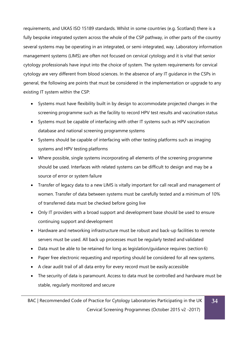requirements, and UKAS ISO 15189 standards. Whilst in some countries (e.g. Scotland) there is a fully bespoke integrated system across the whole of the CSP pathway, in other parts of the country several systems may be operating in an integrated, or semi-integrated, way. Laboratory information management systems (LIMS) are often not focused on cervical cytology and it is vital that senior cytology professionals have input into the choice of system. The system requirements for cervical cytology are very different from blood sciences. In the absence of any IT guidance in the CSPs in general, the following are points that must be considered in the implementation or upgrade to any existing IT system within the CSP:

- Systems must have flexibility built in by design to accommodate projected changes in the screening programme such as the facility to record HPV test results and vaccination status
- Systems must be capable of interfacing with other IT systems such as HPV vaccination database and national screening programme systems
- Systems should be capable of interfacing with other testing platforms such as imaging systems and HPV testing platforms
- Where possible, single systems incorporating all elements of the screening programme should be used. Interfaces with related systems can be difficult to design and may be a source of error or system failure
- Transfer of legacy data to a new LIMS is vitally important for call recall and management of women. Transfer of data between systems must be carefully tested and a minimum of 10% of transferred data must be checked before going live
- Only IT providers with a broad support and development base should be used to ensure continuing support and development
- Hardware and networking infrastructure must be robust and back-up facilities to remote servers must be used. All back up processes must be regularly tested and validated
- Data must be able to be retained for long as legislation/guidance requires (section 6)
- Paper free electronic requesting and reporting should be considered for all new systems.
- A clear audit trail of all data entry for every record must be easily accessible
- The security of data is paramount. Access to data must be controlled and hardware must be stable, regularly monitored and secure

BAC | Recommended Code of Practice for Cytology Laboratories Participating in the UK Cervical Screening Programmes (October 2015 v2 -2017)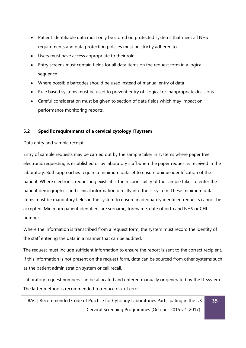- Patient identifiable data must only be stored on protected systems that meet all NHS requirements and data protection policies must be strictly adhered to
- Users must have access appropriate to their role
- Entry screens must contain fields for all data items on the request form in a logical sequence
- Where possible barcodes should be used instead of manual entry of data
- Rule based systems must be used to prevent entry of illogical or inappropriate decisions.
- Careful consideration must be given to section of data fields which may impact on performance monitoring reports.

### <span id="page-35-0"></span>**5.2 Specific requirements of a cervical cytology ITsystem**

#### Data entry and sample receipt

Entry of sample requests may be carried out by the sample taker in systems where paper free electronic requesting is established or by laboratory staff when the paper request is received in the laboratory. Both approaches require a minimum dataset to ensure unique identification of the patient. Where electronic requesting exists it is the responsibility of the sample taker to enter the patient demographics and clinical information directly into the IT system. These minimum data items must be mandatory fields in the system to ensure inadequately identified requests cannot be accepted. Minimum patient identifiers are surname, forename, date of birth and NHS or CHI number.

Where the information is transcribed from a request form, the system must record the identity of the staff entering the data in a manner that can be audited.

The request must include sufficient information to ensure the report is sent to the correct recipient. If this information is not present on the request form, data can be sourced from other systems such as the patient administration system or call recall.

Laboratory request numbers can be allocated and entered manually or generated by the IT system. The latter method is recommended to reduce risk of error.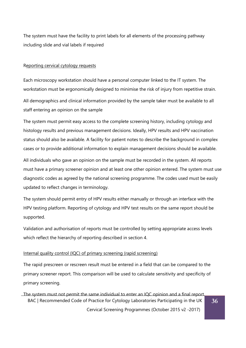The system must have the facility to print labels for all elements of the processing pathway including slide and vial labels if required

#### Reporting cervical cytology requests

Each microscopy workstation should have a personal computer linked to the IT system. The workstation must be ergonomically designed to minimise the risk of injury from repetitive strain.

All demographics and clinical information provided by the sample taker must be available to all staff entering an opinion on the sample

The system must permit easy access to the complete screening history, including cytology and histology results and previous management decisions. Ideally, HPV results and HPV vaccination status should also be available. A facility for patient notes to describe the background in complex cases or to provide additional information to explain management decisions should be available.

All individuals who gave an opinion on the sample must be recorded in the system. All reports must have a primary screener opinion and at least one other opinion entered. The system must use diagnostic codes as agreed by the national screening programme. The codes used must be easily updated to reflect changes in terminology.

The system should permit entry of HPV results either manually or through an interface with the HPV testing platform. Reporting of cytology and HPV test results on the same report should be supported.

Validation and authorisation of reports must be controlled by setting appropriate access levels which reflect the hierarchy of reporting described in section 4.

#### Internal quality control (IQC) of primary screening (rapid screening)

The rapid prescreen or rescreen result must be entered in a field that can be compared to the primary screener report. This comparison will be used to calculate sensitivity and specificity of primary screening.

BAC | Recommended Code of Practice for Cytology Laboratories Participating in the UK Cervical Screening Programmes (October 2015 v2 -2017) The system must not permit the same individual to enter an IQC opinion and a final report.

**36**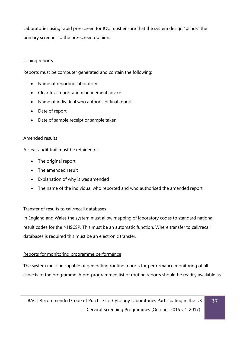Laboratories using rapid pre-screen for IQC must ensure that the system design "blinds" the primary screener to the pre-screen opinion.

# Issuing reports

Reports must be computer generated and contain the following:

- Name of reporting laboratory
- Clear text report and management advice
- Name of individual who authorised final report
- Date of report
- Date of sample receipt or sample taken

# Amended results

A clear audit trail must be retained of:

- The original report
- The amended result
- Explanation of why is was amended
- The name of the individual who reported and who authorised the amended report

# Transfer of results to call/recall databases

In England and Wales the system must allow mapping of laboratory codes to standard national result codes for the NHSCSP. This must be an automatic function. Where transfer to call/recall databases is required this must be an electronic transfer.

# Reports for monitoring programme performance

The system must be capable of generating routine reports for performance monitoring of all aspects of the programme. A pre-programmed list of routine reports should be readily available as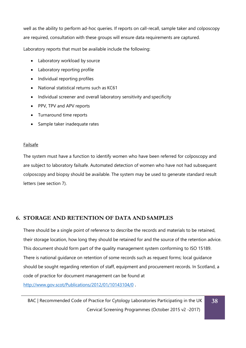well as the ability to perform ad-hoc queries. If reports on call-recall, sample taker and colposcopy are required, consultation with these groups will ensure data requirements are captured.

Laboratory reports that must be available include the following:

- Laboratory workload by source
- Laboratory reporting profile
- Individual reporting profiles
- National statistical returns such as KC61
- Individual screener and overall laboratory sensitivity and specificity
- PPV, TPV and APV reports
- Turnaround time reports
- Sample taker inadequate rates

# Failsafe

The system must have a function to identify women who have been referred for colposcopy and are subject to laboratory failsafe. Automated detection of women who have not had subsequent colposcopy and biopsy should be available. The system may be used to generate standard result letters (see section 7).

# <span id="page-38-0"></span>**6. STORAGE AND RETENTION OF DATA AND SAMPLES**

There should be a single point of reference to describe the records and materials to be retained, their storage location, how long they should be retained for and the source of the retention advice. This document should form part of the quality management system conforming to ISO 15189. There is national guidance on retention of some records such as request forms; local guidance should be sought regarding retention of staff, equipment and procurement records. In Scotland, a code of practice for document management can be found at <http://www.gov.scot/Publications/2012/01/10143104/0> .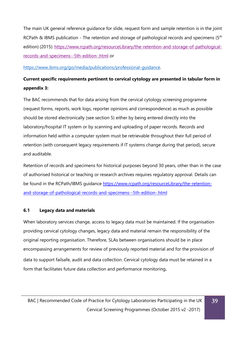The main UK general reference guidance for slide, request form and sample retention is in the joint RCPath & IBMS publication - The retention and storage of pathological records and specimens ( $5<sup>th</sup>$ edition) (2015): [https://www.rcpath.org/resourceLibrary/the-retention-and-storage-of-pathological](https://www.rcpath.org/resourceLibrary/the-retention-and-storage-of-pathological-records-and-specimens--5th-edition-.html)[records-and-specimens--5th-edition-.html](https://www.rcpath.org/resourceLibrary/the-retention-and-storage-of-pathological-records-and-specimens--5th-edition-.html) or

# [https://www.ibms.org/go/media/publications/professional-guidance.](https://www.ibms.org/go/media/publications/professional-guidance)

# **Current specific requirements pertinent to cervical cytology are presented in tabular form in appendix 3:**

The BAC recommends that for data arising from the cervical cytology screening programme (request forms, reports, work logs, reporter opinions and correspondence) as much as possible should be stored electronically (see section 5) either by being entered directly into the laboratory/hospital IT system or by scanning and uploading of paper records. Records and information held within a computer system must be retrievable throughout their full period of retention (with consequent legacy requirements if IT systems change during that period), secure and auditable.

Retention of records and specimens for historical purposes beyond 30 years, other than in the case of authorised historical or teaching or research archives requires regulatory approval. Details can be found in the RCPath/IBMS quidance [https://www.rcpath.org/resourceLibrary/the-retention](https://www.rcpath.org/resourceLibrary/the-retention-and-storage-of-pathological-records-and-specimens--5th-edition-.html)[and-storage-of-pathological-records-and-specimens--5th-edition-.html](https://www.rcpath.org/resourceLibrary/the-retention-and-storage-of-pathological-records-and-specimens--5th-edition-.html)

# <span id="page-39-0"></span>**6.1 Legacy data and materials**

When laboratory services change, access to legacy data must be maintained. If the organisation providing cervical cytology changes, legacy data and material remain the responsibility of the original reporting organisation. Therefore, SLAs between organisations should be in place encompassing arrangements for review of previously reported material and for the provision of data to support failsafe, audit and data collection. Cervical cytology data must be retained in a form that facilitates future data collection and performance monitoring**.**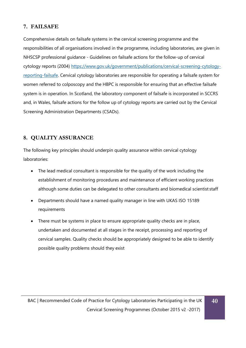# <span id="page-40-0"></span>**7. FAILSAFE**

Comprehensive details on failsafe systems in the cervical screening programme and the responsibilities of all organisations involved in the programme, including laboratories, are given in NHSCSP professional guidance - Guidelines on failsafe actions for the follow-up of cervical cytology reports (2004) [https://www.gov.uk/government/publications/cervical-screening-cytology](https://www.gov.uk/government/publications/cervical-screening-cytology-reporting-failsafe)[reporting-failsafe.](https://www.gov.uk/government/publications/cervical-screening-cytology-reporting-failsafe) Cervical cytology laboratories are responsible for operating a failsafe system for women referred to colposcopy and the HBPC is responsible for ensuring that an effective failsafe system is in operation. In Scotland, the laboratory component of failsafe is incorporated in SCCRS and, in Wales, failsafe actions for the follow up of cytology reports are carried out by the Cervical Screening Administration Departments (CSADs).

# <span id="page-40-1"></span>**8. QUALITY ASSURANCE**

The following key principles should underpin quality assurance within cervical cytology laboratories:

- The lead medical consultant is responsible for the quality of the work including the establishment of monitoring procedures and maintenance of efficient working practices although some duties can be delegated to other consultants and biomedical scientist staff
- Departments should have a named quality manager in line with UKAS ISO 15189 requirements
- There must be systems in place to ensure appropriate quality checks are in place, undertaken and documented at all stages in the receipt, processing and reporting of cervical samples. Quality checks should be appropriately designed to be able to identify possible quality problems should they exist

**40**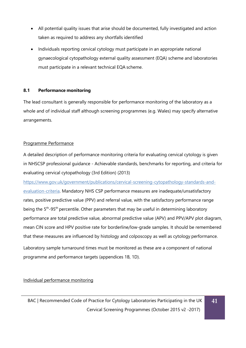- All potential quality issues that arise should be documented, fully investigated and action taken as required to address any shortfalls identified
- Individuals reporting cervical cytology must participate in an appropriate national gynaecological cytopathology external quality assessment (EQA) scheme and laboratories must participate in a relevant technical EQA scheme.

# <span id="page-41-0"></span>**8.1 Performance monitoring**

The lead consultant is generally responsible for performance monitoring of the laboratory as a whole and of individual staff although screening programmes (e.g. Wales) may specify alternative arrangements.

# Programme Performance

A detailed description of performance monitoring criteria for evaluating cervical cytology is given in NHSCSP professional guidance - Achievable standards, benchmarks for reporting, and criteria for evaluating cervical cytopathology (3rd Edition) (2013)

[https://www.gov.uk/government/publications/cervical-screening-cytopathology-standards-and-](https://www.gov.uk/government/publications/cervical-screening-cytopathology-standards-and-evaluation-criteria)

[evaluation-criteria. M](https://www.gov.uk/government/publications/cervical-screening-cytopathology-standards-and-evaluation-criteria)andatory NHS CSP performance measures are inadequate/unsatisfactory rates, positive predictive value (PPV) and referral value, with the satisfactory performance range being the 5<sup>th</sup>-95<sup>th</sup> percentile. Other parameters that may be useful in determining laboratory performance are total predictive value, abnormal predictive value (APV) and PPV/APV plot diagram, mean CIN score and HPV positive rate for borderline/low-grade samples. It should be remembered that these measures are influenced by histology and colposcopy as well as cytology performance.

Laboratory sample turnaround times must be monitored as these are a component of national programme and performance targets (appendices 1B, 1D).

Individual performance monitoring

**41**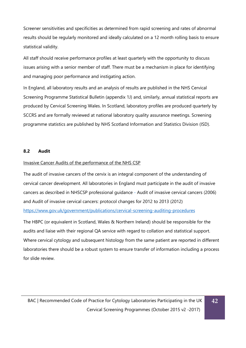Screener sensitivities and specificities as determined from rapid screening and rates of abnormal results should be regularly monitored and ideally calculated on a 12 month rolling basis to ensure statistical validity.

All staff should receive performance profiles at least quarterly with the opportunity to discuss issues arising with a senior member of staff. There must be a mechanism in place for identifying and managing poor performance and instigating action.

In England, all laboratory results and an analysis of results are published in the NHS Cervical Screening Programme Statistical Bulletin (appendix 1J) and, similarly, annual statistical reports are produced by Cervical Screening Wales. In Scotland, laboratory profiles are produced quarterly by SCCRS and are formally reviewed at national laboratory quality assurance meetings. Screening programme statistics are published by NHS Scotland Information and Statistics Division (ISD).

### <span id="page-42-0"></span>**8.2 Audit**

### Invasive Cancer Audits of the performance of the NHS CSP

The audit of invasive cancers of the cervix is an integral component of the understanding of cervical cancer development. All laboratories in England must participate in the audit of invasive cancers as described in NHSCSP professional guidance - Audit of invasive cervical cancers (2006) and Audit of invasive cervical cancers: protocol changes for 2012 to 2013 (2012) <https://www.gov.uk/government/publications/cervical-screening-auditing-procedures>

The HBPC (or equivalent in Scotland, Wales & Northern Ireland) should be responsible for the audits and liaise with their regional QA service with regard to collation and statistical support. Where cervical cytology and subsequent histology from the same patient are reported in different laboratories there should be a robust system to ensure transfer of information including a process for slide review.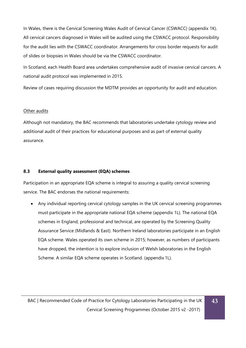In Wales, there is the Cervical Screening Wales Audit of Cervical Cancer (CSWACC) (appendix 1K). All cervical cancers diagnosed in Wales will be audited using the CSWACC protocol. Responsibility for the audit lies with the CSWACC coordinator. Arrangements for cross border requests for audit of slides or biopsies in Wales should be via the CSWACC coordinator.

In Scotland, each Health Board area undertakes comprehensive audit of invasive cervical cancers. A national audit protocol was implemented in 2015.

Review of cases requiring discussion the MDTM provides an opportunity for audit and education.

# Other audits

Although not mandatory, the BAC recommends that laboratories undertake cytology review and additional audit of their practices for educational purposes and as part of external quality assurance.

# **8.3 External quality assessment (EQA) schemes**

Participation in an appropriate EQA scheme is integral to assuring a quality cervical screening service. The BAC endorses the national requirements:

• Any individual reporting cervical cytology samples in the UK cervical screening programmes must participate in the appropriate national EQA scheme (appendix 1L). The national EQA schemes in England, professional and technical, are operated by the Screening Quality Assurance Service (Midlands & East). Northern Ireland laboratories participate in an English EQA scheme. Wales operated its own scheme in 2015; however, as numbers of participants have dropped, the intention is to explore inclusion of Welsh laboratories in the English Scheme. A similar EQA scheme operates in Scotland. (appendix 1L).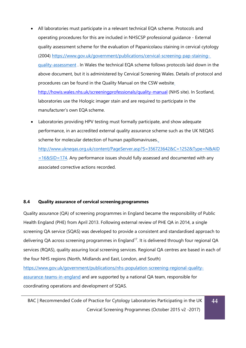- All laboratories must participate in a relevant technical EQA scheme. Protocols and operating procedures for this are included in NHSCSP professional guidance - External quality assessment scheme for the evaluation of Papanicolaou staining in cervical cytology (2004) [https://www.gov.uk/government/publications/cervical-screening-pap-staining](https://www.gov.uk/government/publications/cervical-screening-pap-staining-quality-assessment)[quality-assessment](https://www.gov.uk/government/publications/cervical-screening-pap-staining-quality-assessment) . In Wales the technical EQA scheme follows protocols laid down in the above document, but it is administered by Cervical Screening Wales. Details of protocol and procedures can be found in the Quality Manual on the CSW websit[e](http://www.screeningservices.org/csw/prof/quality/index.asp) [http://howis.wales.nhs.uk/screeningprofessionals/quality-manual](http://www.screeningservices.org/csw/prof/quality/index.asp) (NHS site). In Scotland, laboratories use the Hologic imager stain and are required to participate in the manufacturer's own EQA scheme.
- Laboratories providing HPV testing must formally participate, and show adequate performance, in an accredited external quality assurance scheme such as the UK NEQAS scheme for molecular detection of human papillomaviruses.

[http://www.ukneqas.org.uk/content/PageServer.asp?S=356723642&C=1252&Type=N&AID](http://www.ukneqas.org.uk/content/PageServer.asp?S=356723642&C=1252&Type=N&AID=16&SID=174)  $=168$ SID=174. Any performance issues should fully assessed and documented with any associated corrective actions recorded.

# <span id="page-44-0"></span>**8.4 Quality assurance of cervical screening programmes**

Quality assurance (QA) of screening programmes in England became the responsibility of Public Health England (PHE) from April 2013. Following external review of PHE QA in 2014, a single screening QA service (SQAS) was developed to provide a consistent and standardised approach to delivering QA across screening programmes in England<sup>17</sup>. It is delivered through four regional QA services (RQAS), quality assuring local screening services. Regional QA centres are based in each of the four NHS regions (North, Midlands and East, London, and South) [https://www.gov.uk/government/publications/nhs-population-screening-regional-quality](https://www.gov.uk/government/publications/nhs-population-screening-regional-quality-assurance-teams-in-england)[assurance-teams-in-england](https://www.gov.uk/government/publications/nhs-population-screening-regional-quality-assurance-teams-in-england) and are supported by a national QA team, responsible for

coordinating operations and development of SQAS.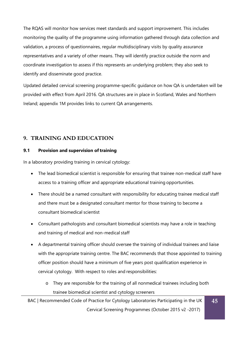The RQAS will monitor how services meet standards and support improvement. This includes monitoring the quality of the programme using information gathered through data collection and validation, a process of questionnaires, regular multidisciplinary visits by quality assurance representatives and a variety of other means. They will identify practice outside the norm and coordinate investigation to assess if this represents an underlying problem; they also seek to identify and disseminate good practice.

Updated detailed cervical screening programme-specific guidance on how QA is undertaken will be provided with effect from April 2016. QA structures are in place in Scotland, Wales and Northern Ireland; appendix 1M provides links to current QA arrangements.

# <span id="page-45-0"></span>**9. TRAINING AND EDUCATION**

# <span id="page-45-1"></span>**9.1 Provision and supervision oftraining**

In a laboratory providing training in cervical cytology:

- The lead biomedical scientist is responsible for ensuring that trainee non-medical staff have access to a training officer and appropriate educational training opportunities.
- There should be a named consultant with responsibility for educating trainee medical staff and there must be a designated consultant mentor for those training to become a consultant biomedical scientist
- Consultant pathologists and consultant biomedical scientists may have a role in teaching and training of medical and non-medical staff
- A departmental training officer should oversee the training of individual trainees and liaise with the appropriate training centre. The BAC recommends that those appointed to training officer position should have a minimum of five years post qualification experience in cervical cytology. With respect to roles and responsibilities:
	- o They are responsible for the training of all nonmedical trainees including both trainee biomedical scientist and cytology screeners

BAC | Recommended Code of Practice for Cytology Laboratories Participating in the UK Cervical Screening Programmes (October 2015 v2 -2017) **45**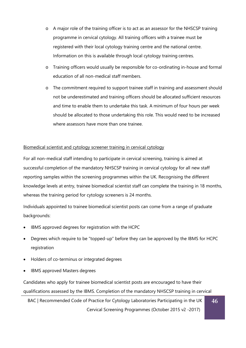- o A major role of the training officer is to act as an assessor for the NHSCSP training programme in cervical cytology. All training officers with a trainee must be registered with their local cytology training centre and the national centre. Information on this is available through local cytology training centres.
- o Training officers would usually be responsible for co-ordinating in-house and formal education of all non-medical staff members.
- o The commitment required to support trainee staff in training and assessment should not be underestimated and training officers should be allocated sufficient resources and time to enable them to undertake this task. A minimum of four hours per week should be allocated to those undertaking this role. This would need to be increased where assessors have more than one trainee.

# Biomedical scientist and cytology screener training in cervical cytology

For all non-medical staff intending to participate in cervical screening, training is aimed at successful completion of the mandatory NHSCSP training in cervical cytology for all new staff reporting samples within the screening programmes within the UK. Recognising the different knowledge levels at entry, trainee biomedical scientist staff can complete the training in 18 months, whereas the training period for cytology screeners is 24 months.

Individuals appointed to trainee biomedical scientist posts can come from a range of graduate backgrounds:

- IBMS approved degrees for registration with the HCPC
- Degrees which require to be "topped-up" before they can be approved by the IBMS for HCPC registration
- Holders of co-terminus or integrated degrees
- IBMS approved Masters degrees

Candidates who apply for trainee biomedical scientist posts are encouraged to have their qualifications assessed by the IBMS. Completion of the mandatory NHSCSP training in cervical

BAC | Recommended Code of Practice for Cytology Laboratories Participating in the UK Cervical Screening Programmes (October 2015 v2 -2017)

**46**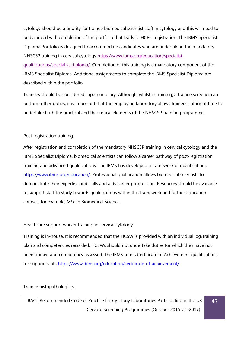cytology should be a priority for trainee biomedical scientist staff in cytology and this will need to be balanced with completion of the portfolio that leads to HCPC registration. The IBMS Specialist Diploma Portfolio is designed to accommodate candidates who are undertaking the mandatory NHSCSP training in cervical cytology [https://www.ibms.org/education/specialist-](https://www.ibms.org/education/specialist-qualifications/specialist-diploma/)

[qualifications/specialist-diploma/.](https://www.ibms.org/education/specialist-qualifications/specialist-diploma/) Completion of this training is a mandatory component of the IBMS Specialist Diploma. Additional assignments to complete the IBMS Specialist Diploma are described within the portfolio.

Trainees should be considered supernumerary. Although, whilst in training, a trainee screener can perform other duties, it is important that the employing laboratory allows trainees sufficient time to undertake both the practical and theoretical elements of the NHSCSP training programme.

### Post registration training

After registration and completion of the mandatory NHSCSP training in cervical cytology and the IBMS Specialist Diploma, biomedical scientists can follow a career pathway of post-registration training and advanced qualifications. The IBMS has developed a framework of qualifications <https://www.ibms.org/education/>[. P](https://www.ibms.org/go/qualifications/ibms-courses)rofessional qualification allows biomedical scientists to demonstrate their expertise and skills and aids career progression. Resources should be available to support staff to study towards qualifications within this framework and further education courses, for example, MSc in Biomedical Science.

#### Healthcare support worker training in cervical cytology

Training is in-house. It is recommended that the HCSW is provided with an individual log/training plan and competencies recorded. HCSWs should not undertake duties for which they have not been trained and competency assessed. The IBMS offers Certificate of Achievement qualifications for support staff,<https://www.ibms.org/education/certificate-of-achievement/>

### Trainee histopathologists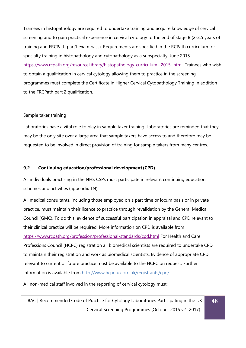Trainees in histopathology are required to undertake training and acquire knowledge of cervical screening and to gain practical experience in cervical cytology to the end of stage B (2-2.5 years of training and FRCPath part1 exam pass). Requirements are specified in the RCPath [curriculum for](http://www.rcpath.org/Resources/RCPath/Migrated%20Resources/Documents/H/histopathology_curriculum_ar.pdf) [specialty training in histopathology and cytopathology as a subspecialty, June 2015](http://www.rcpath.org/Resources/RCPath/Migrated%20Resources/Documents/H/histopathology_curriculum_ar.pdf) [https://www.rcpath.org/resourceLibrary/histopathology-curriculum--2015-.html.](https://www.rcpath.org/resourceLibrary/histopathology-curriculum--2015-.html) Trainees who wish to obtain a qualification in cervical cytology allowing them to practice in the screening programmes must complete the Certificate in Higher Cervical Cytopathology Training in addition to the FRCPath part 2 qualification.

#### Sample taker training

Laboratories have a vital role to play in sample taker training. Laboratories are reminded that they may be the only site over a large area that sample takers have access to and therefore may be requested to be involved in direct provision of training for sample takers from many centres.

#### **9.2 Continuing education/professional development(CPD)**

All individuals practising in the NHS CSPs must participate in relevant continuing education schemes and activities (appendix 1N).

All medical consultants, including those employed on a part time or locum basis or in private practice, must maintain their licence to practice through revalidation by the General Medical Council (GMC). To do this, evidence of successful participation in appraisal and CPD relevant to their clinical practice will be required. More information on CPD is available from <https://www.rcpath.org/profession/professional-standards/cpd.html> For Health and Care Professions Council (HCPC) registration all biomedical scientists are required to undertake CPD to maintain their registration and work as biomedical scientists. Evidence of appropriate CPD relevant to current or future practice must be available to the HCPC on request. Further information is available from [http://www.hcpc-uk.org.uk/registrants/cpd/.](http://www.hcpc-uk.org.uk/registrants/cpd/)

All non-medical staff involved in the reporting of cervical cytology must:

BAC | Recommended Code of Practice for Cytology Laboratories Participating in the UK Cervical Screening Programmes (October 2015 v2 -2017) **48**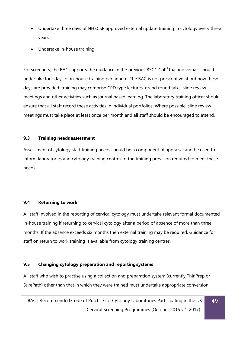- Undertake three days of NHSCSP approved external update training in cytology every three years
- Undertake in-house training.

For screeners, the BAC supports the quidance in the previous BSCC CoP<sup>1</sup> that individuals should undertake four days of in-house training per annum. The BAC is not prescriptive about how these days are provided: training may comprise CPD type lectures, grand round talks, slide review meetings and other activities such as journal based learning. The laboratory training officer should ensure that all staff record these activities in individual portfolios. Where possible, slide review meetings must take place at least once per month and all staff should be encouraged to attend.

# <span id="page-49-0"></span>**9.3 Training needs assessment**

Assessment of cytology staff training needs should be a component of appraisal and be used to inform laboratories and cytology training centres of the training provision required to meet these needs.

# <span id="page-49-1"></span>**9.4 Returning to work**

All staff involved in the reporting of cervical cytology must undertake relevant formal documented in-house training if returning to cervical cytology after a period of absence of more than three months. If the absence exceeds six months then external training may be required. Guidance for staff on return to work training is available from cytology training centres.

# **9.5 Changing cytology preparation and reportingsystems**

All staff who wish to practise using a collection and preparation system (currently ThinPrep or SurePath) other than that in which they were trained must undertake appropriate conversion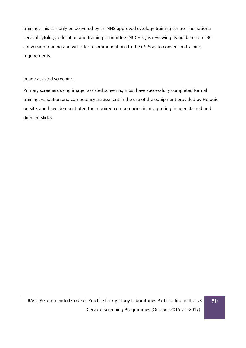training. This can only be delivered by an NHS approved cytology training centre. The national cervical cytology education and training committee (NCCETC) is reviewing its guidance on LBC conversion training and will offer recommendations to the CSPs as to conversion training requirements.

# Image assisted screening

Primary screeners using imager assisted screening must have successfully completed formal training, validation and competency assessment in the use of the equipment provided by Hologic on site, and have demonstrated the required competencies in interpreting imager stained and directed slides.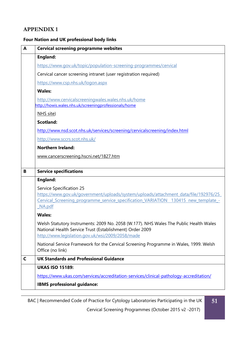# **APPENDIX 1**

# **Four Nation and UK professional body links**

| A                                                                                                            | <b>Cervical screening programme websites</b>                                                                                                                                                                    |  |
|--------------------------------------------------------------------------------------------------------------|-----------------------------------------------------------------------------------------------------------------------------------------------------------------------------------------------------------------|--|
|                                                                                                              | England:                                                                                                                                                                                                        |  |
| https://www.gov.uk/topic/population-screening-programmes/cervical                                            |                                                                                                                                                                                                                 |  |
| Cervical cancer screening intranet (user registration required)                                              |                                                                                                                                                                                                                 |  |
| https://www.csp.nhs.uk/logon.aspx                                                                            |                                                                                                                                                                                                                 |  |
|                                                                                                              | <b>Wales:</b>                                                                                                                                                                                                   |  |
| http://www.cervicalscreeningwales.wales.nhs.uk/home<br>http://howis.wales.nhs.uk/screeningprofessionals/home |                                                                                                                                                                                                                 |  |
| NHS site)                                                                                                    |                                                                                                                                                                                                                 |  |
|                                                                                                              | <b>Scotland:</b>                                                                                                                                                                                                |  |
|                                                                                                              | http://www.nsd.scot.nhs.uk/services/screening/cervicalscreening/index.html                                                                                                                                      |  |
| http://www.sccrs.scot.nhs.uk/                                                                                |                                                                                                                                                                                                                 |  |
| <b>Northern Ireland:</b>                                                                                     |                                                                                                                                                                                                                 |  |
|                                                                                                              | www.cancerscreening.hscni.net/1827.htm                                                                                                                                                                          |  |
| B                                                                                                            | <b>Service specifications</b>                                                                                                                                                                                   |  |
|                                                                                                              | <b>England:</b>                                                                                                                                                                                                 |  |
|                                                                                                              | Service Specification 25<br>https://www.gov.uk/government/uploads/system/uploads/attachment_data/file/192976/25<br>Cervical Screening programme service specification VARIATION 130415 new template -<br>NA.pdf |  |
|                                                                                                              | <b>Wales:</b>                                                                                                                                                                                                   |  |
|                                                                                                              | Welsh Statutory Instruments: 2009 No. 2058 (W.177). NHS Wales The Public Health Wales<br>National Health Service Trust (Establishment) Order 2009<br>http://www.legislation.gov.uk/wsi/2009/2058/made           |  |
|                                                                                                              | National Service Framework for the Cervical Screening Programme in Wales, 1999. Welsh<br>Office (no link)                                                                                                       |  |
| C                                                                                                            | <b>UK Standards and Professional Guidance</b>                                                                                                                                                                   |  |
|                                                                                                              | <b>UKAS ISO 15189:</b>                                                                                                                                                                                          |  |
|                                                                                                              | https://www.ukas.com/services/accreditation-services/clinical-pathology-accreditation/                                                                                                                          |  |
|                                                                                                              | <b>IBMS</b> professional guidance:                                                                                                                                                                              |  |
|                                                                                                              |                                                                                                                                                                                                                 |  |

BAC | Recommended Code of Practice for Cytology Laboratories Participating in the UK

Cervical Screening Programmes (October 2015 v2 -2017)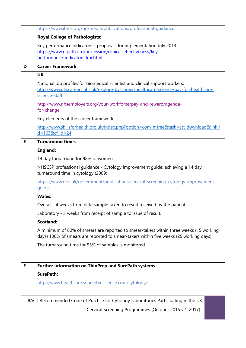|   | https://www.ibms.org/go/media/publications/professional-guidance                                                                                                                       |  |
|---|----------------------------------------------------------------------------------------------------------------------------------------------------------------------------------------|--|
|   | <b>Royal College of Pathologists:</b>                                                                                                                                                  |  |
|   | Key performance indicators - proposals for implementation July 2013<br>https://www.rcpath.org/profession/clinical-effectiveness/key-<br>performance-indicators-kpi.html                |  |
| D | <b>Career Framework</b>                                                                                                                                                                |  |
|   | <b>UK</b>                                                                                                                                                                              |  |
|   | National job profiles for biomedical scientist and clinical support workers:<br>http://www.nhscareers.nhs.uk/explore-by-career/healthcare-science/pay-for-healthcare-<br>science-staff |  |
|   | http://www.nhsemployers.org/your-workforce/pay-and-reward/agenda-<br>for-change                                                                                                        |  |
|   | Key elements of the career framework:                                                                                                                                                  |  |
|   | http://www.skillsforhealth.org.uk/index.php?option=com mtree&task=att download&link i<br>$d = 1638c f$ id=24                                                                           |  |
| E | <b>Turnaround times</b>                                                                                                                                                                |  |
|   | <b>England:</b>                                                                                                                                                                        |  |
|   | 14 day turnaround for 98% of women                                                                                                                                                     |  |
|   | NHSCSP professional guidance - Cytology improvement guide: achieving a 14 day<br>turnaround time in cytology (2009)                                                                    |  |
|   | https://www.gov.uk/government/publications/cervical-screening-cytology-improvement-<br>quide                                                                                           |  |
|   | <b>Wales:</b>                                                                                                                                                                          |  |
|   | Overall - 4 weeks from date sample taken to result received by the patient.                                                                                                            |  |
|   | Laboratory - 3 weeks from receipt of sample to issue of result.                                                                                                                        |  |
|   | <b>Scotland:</b>                                                                                                                                                                       |  |
|   | A minimum of 80% of smears are reported to smear-takers within three weeks (15 working<br>days) 100% of smears are reported to smear-takers within five weeks (25 working days)        |  |
|   | The turnaround time for 95% of samples is monitored                                                                                                                                    |  |
| F | <b>Further information on ThinPrep and SurePath systems</b>                                                                                                                            |  |
|   | <b>SurePath:</b>                                                                                                                                                                       |  |
|   | http://www.healthcare.sourcebioscience.com/cytology/                                                                                                                                   |  |

BAC | Recommended Code of Practice for Cytology Laboratories Participating in the UK

Cervical Screening Programmes (October 2015 v2 -2017)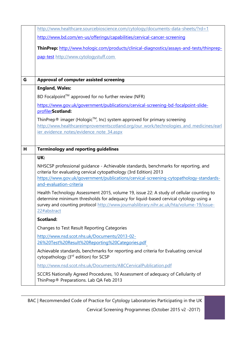|                                                                                                                                                                                                                                                                                           | http://www.healthcare.sourcebioscience.com/cytology/documents-data-sheets/?rd=1                                                                                                                                                                   |
|-------------------------------------------------------------------------------------------------------------------------------------------------------------------------------------------------------------------------------------------------------------------------------------------|---------------------------------------------------------------------------------------------------------------------------------------------------------------------------------------------------------------------------------------------------|
|                                                                                                                                                                                                                                                                                           | http://www.bd.com/en-us/offerings/capabilities/cervical-cancer-screening                                                                                                                                                                          |
|                                                                                                                                                                                                                                                                                           | ThinPrep: http://www.hologic.com/products/clinical-diagnostics/assays-and-tests/thinprep-                                                                                                                                                         |
|                                                                                                                                                                                                                                                                                           | pap-test http://www.cytologystuff.com                                                                                                                                                                                                             |
|                                                                                                                                                                                                                                                                                           |                                                                                                                                                                                                                                                   |
|                                                                                                                                                                                                                                                                                           |                                                                                                                                                                                                                                                   |
| G                                                                                                                                                                                                                                                                                         | <b>Approval of computer assisted screening</b>                                                                                                                                                                                                    |
|                                                                                                                                                                                                                                                                                           | <b>England, Wales:</b>                                                                                                                                                                                                                            |
|                                                                                                                                                                                                                                                                                           | BD Focalpoint™ approved for no further review (NFR)                                                                                                                                                                                               |
|                                                                                                                                                                                                                                                                                           | https://www.qov.uk/qovernment/publications/cervical-screening-bd-focalpoint-slide-<br>profilerScotland:                                                                                                                                           |
|                                                                                                                                                                                                                                                                                           | ThinPrep® imager (Hologic™, Inc) system approved for primary screening<br>http://www.healthcareimprovementscotland.org/our_work/technologies_and_medicines/earl<br>ier_evidence_notes/evidence_note_34.aspx                                       |
| H                                                                                                                                                                                                                                                                                         | <b>Terminology and reporting guidelines</b>                                                                                                                                                                                                       |
|                                                                                                                                                                                                                                                                                           | UK:                                                                                                                                                                                                                                               |
|                                                                                                                                                                                                                                                                                           | NHSCSP professional guidance - Achievable standards, benchmarks for reporting, and<br>criteria for evaluating cervical cytopathology (3rd Edition) 2013<br>https://www.gov.uk/government/publications/cervical-screening-cytopathology-standards- |
|                                                                                                                                                                                                                                                                                           | and-evaluation-criteria                                                                                                                                                                                                                           |
| Health Technology Assessment 2015, volume 19, issue 22: A study of cellular counting to<br>determine minimum thresholds for adequacy for liquid-based cervical cytology using a<br>survey and counting protocol http://www.journalslibrary.nihr.ac.uk/hta/volume-19/issue-<br>22#abstract |                                                                                                                                                                                                                                                   |
|                                                                                                                                                                                                                                                                                           | <b>Scotland:</b>                                                                                                                                                                                                                                  |
|                                                                                                                                                                                                                                                                                           | Changes to Test Result Reporting Categories                                                                                                                                                                                                       |
|                                                                                                                                                                                                                                                                                           | http://www.nsd.scot.nhs.uk/Documents/2013-02-<br>26%20Test%20Result%20Reporting%20Categories.pdf                                                                                                                                                  |
|                                                                                                                                                                                                                                                                                           | Achievable standards, benchmarks for reporting and criteria for Evaluating cervical<br>cytopathology (3rd edition) for SCSP                                                                                                                       |
|                                                                                                                                                                                                                                                                                           | http://www.nsd.scot.nhs.uk/Documents/ABCCervicalPublication.pdf                                                                                                                                                                                   |
|                                                                                                                                                                                                                                                                                           | SCCRS Nationally Agreed Procedures, 10 Assessment of adequacy of Cellularity of<br>ThinPrep® Preparations. Lab QA Feb 2013                                                                                                                        |

BAC | Recommended Code of Practice for Cytology Laboratories Participating in the UK

Cervical Screening Programmes (October 2015 v2 -2017)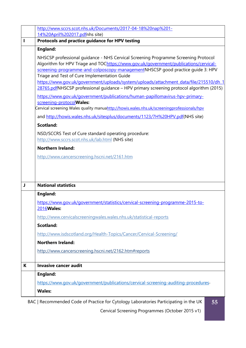|                                                  | http://www.sccrs.scot.nhs.uk/Documents/2017-04-18%20nap%201-                                                                                                           |
|--------------------------------------------------|------------------------------------------------------------------------------------------------------------------------------------------------------------------------|
|                                                  | 14%20April%202017.pdfnhs site)<br>Protocols and practice guidance for HPV testing                                                                                      |
|                                                  |                                                                                                                                                                        |
|                                                  | <b>England:</b>                                                                                                                                                        |
|                                                  | NHSCSP professional quidance - NHS Cervical Screening Programme Screening Protocol                                                                                     |
|                                                  | Algorithm for HPV Triage and TOChttps://www.gov.uk/government/publications/cervical-<br>screening-programme-and-colposcopy-managementNHSCSP good practice guide 3: HPV |
|                                                  | Triage and Test of Cure Implementation Guide                                                                                                                           |
|                                                  | https://www.gov.uk/government/uploads/system/uploads/attachment_data/file/215510/dh_1                                                                                  |
|                                                  | 28765.pdfNHSCSP professional guidance - HPV primary screening protocol algorithm (2015)                                                                                |
|                                                  | https://www.gov.uk/government/publications/human-papillomavirus-hpv-primary-                                                                                           |
|                                                  | screening-protocolWales:<br>Cervical screening Wales quality manuahttp://howis.wales.nhs.uk/screeningprofessionals/hpv                                                 |
|                                                  | and http://howis.wales.nhs.uk/sitesplus/documents/1123/7H%20HPV.pdf(NHS site)                                                                                          |
|                                                  | <b>Scotland:</b>                                                                                                                                                       |
|                                                  | NSD/SCCRS Test of Cure standard operating procedure:                                                                                                                   |
| http://www.sccrs.scot.nhs.uk/lab.html (NHS site) |                                                                                                                                                                        |
|                                                  | <b>Northern Ireland:</b>                                                                                                                                               |
|                                                  | http://www.cancerscreening.hscni.net/2161.htm                                                                                                                          |
|                                                  |                                                                                                                                                                        |
|                                                  |                                                                                                                                                                        |
|                                                  |                                                                                                                                                                        |
| J                                                | <b>National statistics</b>                                                                                                                                             |
|                                                  | <b>England:</b>                                                                                                                                                        |
|                                                  | https://www.gov.uk/government/statistics/cervical-screening-programme-2015-to-                                                                                         |
|                                                  | 2016 Wales:                                                                                                                                                            |
|                                                  | http://www.cervicalscreeningwales.wales.nhs.uk/statistical-reports                                                                                                     |
|                                                  | <b>Scotland:</b>                                                                                                                                                       |
|                                                  | http://www.isdscotland.org/Health-Topics/Cancer/Cervical-Screening/                                                                                                    |
|                                                  | <b>Northern Ireland:</b>                                                                                                                                               |
|                                                  | http://www.cancerscreening.hscni.net/2162.htm#reports                                                                                                                  |
|                                                  |                                                                                                                                                                        |
| K                                                | <b>Invasive cancer audit</b>                                                                                                                                           |
|                                                  | <b>England:</b>                                                                                                                                                        |
|                                                  | https://www.gov.uk/government/publications/cervical-screening-auditing-procedures-                                                                                     |
|                                                  | <b>Wales:</b>                                                                                                                                                          |
|                                                  |                                                                                                                                                                        |

BAC | Recommended Code of Practice for Cytology Laboratories Participating in the UK

Cervical Screening Programmes (October 2015 v1)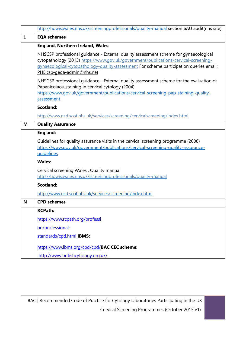|                                                                                                                                                                                                                                                                                                      | http://howis.wales.nhs.uk/screeningprofessionals/quality-manual section 6AU audit(nhs site)                                                                                                                                                       |  |
|------------------------------------------------------------------------------------------------------------------------------------------------------------------------------------------------------------------------------------------------------------------------------------------------------|---------------------------------------------------------------------------------------------------------------------------------------------------------------------------------------------------------------------------------------------------|--|
| L                                                                                                                                                                                                                                                                                                    | <b>EQA schemes</b>                                                                                                                                                                                                                                |  |
|                                                                                                                                                                                                                                                                                                      | <b>England, Northern Ireland, Wales:</b>                                                                                                                                                                                                          |  |
| NHSCSP professional quidance - External quality assessment scheme for gynaecological<br>cytopathology (2013) https://www.gov.uk/government/publications/cervical-screening-<br>gynaecological-cytopathology-quality-assessment For scheme participation queries email:<br>PHE.csp-gega-admin@nhs.net |                                                                                                                                                                                                                                                   |  |
|                                                                                                                                                                                                                                                                                                      | NHSCSP professional guidance - External quality assessment scheme for the evaluation of<br>Papanicolaou staining in cervical cytology (2004)<br>https://www.gov.uk/government/publications/cervical-screening-pap-staining-quality-<br>assessment |  |
| <b>Scotland:</b>                                                                                                                                                                                                                                                                                     |                                                                                                                                                                                                                                                   |  |
| http://www.nsd.scot.nhs.uk/services/screening/cervicalscreening/index.html                                                                                                                                                                                                                           |                                                                                                                                                                                                                                                   |  |
| M                                                                                                                                                                                                                                                                                                    | <b>Quality Assurance</b>                                                                                                                                                                                                                          |  |
|                                                                                                                                                                                                                                                                                                      | England:                                                                                                                                                                                                                                          |  |
|                                                                                                                                                                                                                                                                                                      | Guidelines for quality assurance visits in the cervical screening programme (2008)<br>https://www.gov.uk/government/publications/cervical-screening-quality-assurance-<br>guidelines                                                              |  |
|                                                                                                                                                                                                                                                                                                      | <b>Wales:</b>                                                                                                                                                                                                                                     |  |
|                                                                                                                                                                                                                                                                                                      | Cervical screening Wales, Quality manual<br>http://howis.wales.nhs.uk/screeningprofessionals/quality-manual                                                                                                                                       |  |
|                                                                                                                                                                                                                                                                                                      | <b>Scotland:</b>                                                                                                                                                                                                                                  |  |
|                                                                                                                                                                                                                                                                                                      | http://www.nsd.scot.nhs.uk/services/screening/index.html                                                                                                                                                                                          |  |
| N                                                                                                                                                                                                                                                                                                    | <b>CPD schemes</b>                                                                                                                                                                                                                                |  |
|                                                                                                                                                                                                                                                                                                      | <b>RCPath:</b>                                                                                                                                                                                                                                    |  |
|                                                                                                                                                                                                                                                                                                      | https://www.rcpath.org/professi                                                                                                                                                                                                                   |  |
|                                                                                                                                                                                                                                                                                                      | on/professional-                                                                                                                                                                                                                                  |  |
|                                                                                                                                                                                                                                                                                                      | standards/cpd.html IBMS:                                                                                                                                                                                                                          |  |
|                                                                                                                                                                                                                                                                                                      | https://www.ibms.org/cpd/cpd/BAC CEC scheme:<br>http://www.britishcytology.org.uk/                                                                                                                                                                |  |

Cervical Screening Programmes (October 2015 v1)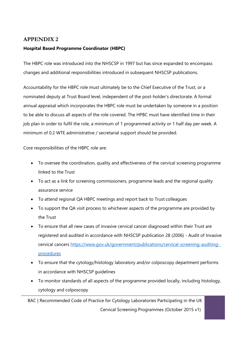# **APPENDIX 2**

# **Hospital Based Programme Coordinator (HBPC)**

The HBPC role was introduced into the NHSCSP in 1997 but has since expanded to encompass changes and additional responsibilities introduced in subsequent NHSCSP publications.

Accountability for the HBPC role must ultimately be to the Chief Executive of the Trust, or a nominated deputy at Trust Board level, independent of the post-holder's directorate. A formal annual appraisal which incorporates the HBPC role must be undertaken by someone in a position to be able to discuss all aspects of the role covered. The HPBC must have identified time in their job plan in order to fulfil the role, a minimum of 1 programmed activity or 1 half day per week. A minimum of 0.2 WTE administrative / secretarial support should be provided.

Core responsibilities of the HBPC role are:

- To oversee the coordination, quality and effectiveness of the cervical screening programme linked to the Trust
- To act as a link for screening commissioners, programme leads and the regional quality assurance service
- To attend regional QA HBPC meetings and report back to Trust colleagues
- To support the QA visit process to whichever aspects of the programme are provided by the Trust
- To ensure that all new cases of invasive cervical cancer diagnosed within their Trust are registered and audited in accordance with NHSCSP publication 28 (2006) - Audit of Invasive cervical cancers [https://www.gov.uk/government/publications/cervical-screening-auditing](https://www.gov.uk/government/publications/cervical-screening-auditing-procedures)[procedures](https://www.gov.uk/government/publications/cervical-screening-auditing-procedures)
- To ensure that the cytology/histology laboratory and/or colposcopy department performs in accordance with NHSCSP guidelines
- To monitor standards of all aspects of the programme provided locally, including histology, cytology and colposcopy

BAC | Recommended Code of Practice for Cytology Laboratories Participating in the UK Cervical Screening Programmes (October 2015 v1)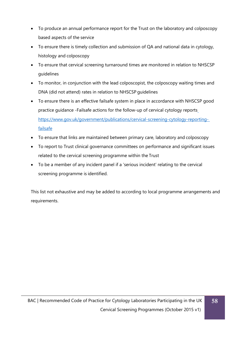- To produce an annual performance report for the Trust on the laboratory and colposcopy based aspects of the service
- To ensure there is timely collection and submission of QA and national data in cytology, histology and colposcopy
- To ensure that cervical screening turnaround times are monitored in relation to NHSCSP guidelines
- To monitor, in conjunction with the lead colposcopist, the colposcopy waiting times and DNA (did not attend) rates in relation to NHSCSP guidelines
- To ensure there is an effective failsafe system in place in accordance with NHSCSP good practice guidance -Failsafe actions for the follow-up of cervical cytology reports [https://www.gov.uk/government/publications/cervical-screening-cytology-reporting](https://www.gov.uk/government/publications/cervical-screening-cytology-reporting-failsafe)[failsafe](https://www.gov.uk/government/publications/cervical-screening-cytology-reporting-failsafe)
- To ensure that links are maintained between primary care, laboratory and colposcopy
- To report to Trust clinical governance committees on performance and significant issues related to the cervical screening programme within the Trust
- To be a member of any incident panel if a 'serious incident' relating to the cervical screening programme is identified.

This list not exhaustive and may be added to according to local programme arrangements and requirements.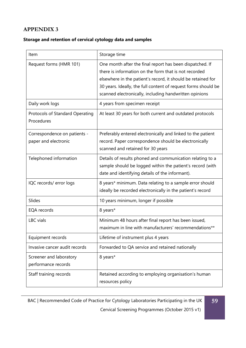# **APPENDIX 3**

# **Storage and retention of cervical cytology data and samples**

| Item                                                 | Storage time                                                                                                                                                                                                                                                                                                  |
|------------------------------------------------------|---------------------------------------------------------------------------------------------------------------------------------------------------------------------------------------------------------------------------------------------------------------------------------------------------------------|
| Request forms (HMR 101)                              | One month after the final report has been dispatched. If<br>there is information on the form that is not recorded<br>elsewhere in the patient's record, it should be retained for<br>30 years. Ideally, the full content of request forms should be<br>scanned electronically, including handwritten opinions |
| Daily work logs                                      | 4 years from specimen receipt                                                                                                                                                                                                                                                                                 |
| Protocols of Standard Operating<br>Procedures        | At least 30 years for both current and outdated protocols                                                                                                                                                                                                                                                     |
| Correspondence on patients -<br>paper and electronic | Preferably entered electronically and linked to the patient<br>record. Paper correspondence should be electronically<br>scanned and retained for 30 years                                                                                                                                                     |
| Telephoned information                               | Details of results phoned and communication relating to a<br>sample should be logged within the patient's record (with<br>date and identifying details of the informant).                                                                                                                                     |
| IQC records/ error logs                              | 8 years* minimum. Data relating to a sample error should<br>ideally be recorded electronically in the patient's record                                                                                                                                                                                        |
| Slides                                               | 10 years minimum, longer if possible                                                                                                                                                                                                                                                                          |
| EQA records                                          | 8 years*                                                                                                                                                                                                                                                                                                      |
| LBC vials                                            | Minimum 48 hours after final report has been issued,<br>maximum in line with manufacturers' recommendations**                                                                                                                                                                                                 |
| Equipment records                                    | Lifetime of instrument plus 4 years                                                                                                                                                                                                                                                                           |
| Invasive cancer audit records                        | Forwarded to QA service and retained nationally                                                                                                                                                                                                                                                               |
| Screener and laboratory<br>performance records       | 8 years*                                                                                                                                                                                                                                                                                                      |
| Staff training records                               | Retained according to employing organisation's human<br>resources policy                                                                                                                                                                                                                                      |

Cervical Screening Programmes (October 2015 v1)

**59**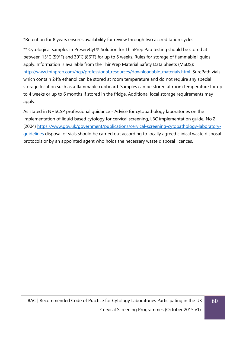\*Retention for 8 years ensures availability for review through two accreditation cycles

\*\* Cytological samples in PreservCyt® Solution for ThinPrep Pap testing should be stored at between 15°C (59°F) and 30°C (86°F) for up to 6 weeks. Rules for storage of flammable liquids apply. Information is available from the ThinPrep Material Safety Data Sheets (MSDS): [http://www.thinprep.com/hcp/professional\\_resources/downloadable\\_materials.html. S](http://www.thinprep.com/hcp/professional_resources/downloadable_materials.html)urePath vials which contain 24% ethanol can be stored at room temperature and do not require any special storage location such as a flammable cupboard. Samples can be stored at room temperature for up to 4 weeks or up to 6 months if stored in the fridge. Additional local storage requirements may apply.

As stated in NHSCSP professional guidance - Advice for cytopathology laboratories on the implementation of liquid based cytology for cervical screening, LBC implementation guide, No 2 (2004) [https://www.gov.uk/government/publications/cervical-screening-cytopathology-laboratory](https://www.gov.uk/government/publications/cervical-screening-cytopathology-laboratory-guidelines)[guidelines](https://www.gov.uk/government/publications/cervical-screening-cytopathology-laboratory-guidelines) disposal of vials should be carried out according to locally agreed clinical waste disposal protocols or by an appointed agent who holds the necessary waste disposal licences.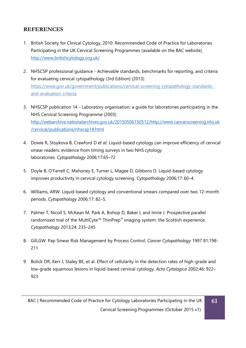# <span id="page-60-0"></span>**REFERENCES**

- 1. British Society for Clinical Cytology, 2010: Recommended Code of Practice for Laboratories Participating in the UK Cervical Screening Programmes (available on the BAC website) <http://www.britishcytology.org.uk/>
- 2. NHSCSP professional guidance Achievable standards, benchmarks for reporting, and criteria for evaluating cervical cytopathology (3rd Edition) (2013) [https://www.gov.uk/government/publications/cervical-screening-cytopathology-standards](https://www.gov.uk/government/publications/cervical-screening-cytopathology-standards-and-evaluation-criteria)[and-evaluation-criteria](https://www.gov.uk/government/publications/cervical-screening-cytopathology-standards-and-evaluation-criteria)
- 3. NHSCSP publication 14 Laboratory organisation: a guide for laboratories participating in the NHS Cervical Screening Programme (2003) http://webarchive.nationalarchives.gov.uk/2015050615051[2/http://www.cancerscreening.nhs.uk](http://www.cancerscreening.nhs.uk/) /cervical/publications/nhscsp14.html
- 4. Dowie R, Stoykova B, Crawford D *et al.* Liquid-based cytology can improve efficiency of cervical smear readers: evidence from timing surveys in two NHS cytology laboratories. *Cytopathology* 2006;17:65–72
- 5. Doyle B, O'Farrell C, Mahoney E, Turner L, Magee D, Gibbons D. Liquid-based cytology improves productivity in cervical cytology screening. *Cytopathology* 2006;17: 60–4.
- 6. Williams, ARW. Liquid-based cytology and conventional smears compared over two 12-month periods. *Cytopathology* 2006;17: 82–5.
- 7. Palmer T, Nicoll S, McKean M, Park A, Bishop D, Baker L and Imrie J. [Prospective parallel](http://onlinelibrary.wiley.com.proxy.knowledgeservices.org/doi/10.1111/j.1365-2303.2012.00982.x/abstract) [randomized trial of the MultiCyte™ ThinPrep](http://onlinelibrary.wiley.com.proxy.knowledgeservices.org/doi/10.1111/j.1365-2303.2012.00982.x/abstract)® imaging system: the Scottish experience. *Cytopathology* 2013;24: 235–245
- 8. Gill,GW. Pap Smear Risk Management by Process Control. *Cancer Cytopathology* 1997 81;198- 211
- 9. Bolick DR, Kerr J, Staley BE, et al. Effect of cellularity in the detection rates of high-grade and low-grade squamous lesions in liquid-based cervical cytology. *Acta Cytologica* 2002;46: 922– 923